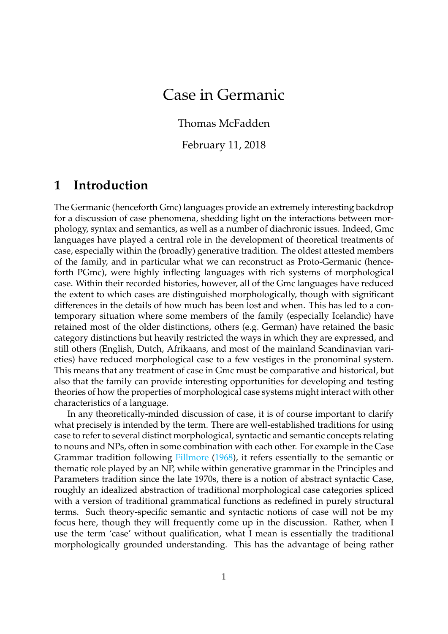# Case in Germanic

Thomas McFadden

February 11, 2018

## **1 Introduction**

The Germanic (henceforth Gmc) languages provide an extremely interesting backdrop for a discussion of case phenomena, shedding light on the interactions between morphology, syntax and semantics, as well as a number of diachronic issues. Indeed, Gmc languages have played a central role in the development of theoretical treatments of case, especially within the (broadly) generative tradition. The oldest attested members of the family, and in particular what we can reconstruct as Proto-Germanic (henceforth PGmc), were highly inflecting languages with rich systems of morphological case. Within their recorded histories, however, all of the Gmc languages have reduced the extent to which cases are distinguished morphologically, though with significant differences in the details of how much has been lost and when. This has led to a contemporary situation where some members of the family (especially Icelandic) have retained most of the older distinctions, others (e.g. German) have retained the basic category distinctions but heavily restricted the ways in which they are expressed, and still others (English, Dutch, Afrikaans, and most of the mainland Scandinavian varieties) have reduced morphological case to a few vestiges in the pronominal system. This means that any treatment of case in Gmc must be comparative and historical, but also that the family can provide interesting opportunities for developing and testing theories of how the properties of morphological case systems might interact with other characteristics of a language.

In any theoretically-minded discussion of case, it is of course important to clarify what precisely is intended by the term. There are well-established traditions for using case to refer to several distinct morphological, syntactic and semantic concepts relating to nouns and NPs, often in some combination with each other. For example in the Case Grammar tradition following [Fillmore](#page-23-0) [\(1968\)](#page-23-0), it refers essentially to the semantic or thematic role played by an NP, while within generative grammar in the Principles and Parameters tradition since the late 1970s, there is a notion of abstract syntactic Case, roughly an idealized abstraction of traditional morphological case categories spliced with a version of traditional grammatical functions as redefined in purely structural terms. Such theory-specific semantic and syntactic notions of case will not be my focus here, though they will frequently come up in the discussion. Rather, when I use the term 'case' without qualification, what I mean is essentially the traditional morphologically grounded understanding. This has the advantage of being rather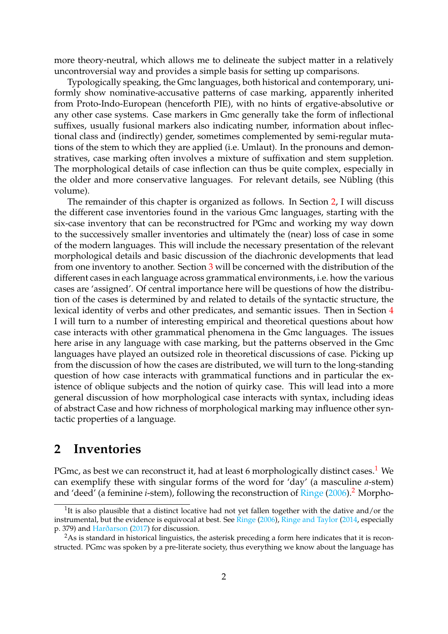more theory-neutral, which allows me to delineate the subject matter in a relatively uncontroversial way and provides a simple basis for setting up comparisons.

Typologically speaking, the Gmc languages, both historical and contemporary, uniformly show nominative-accusative patterns of case marking, apparently inherited from Proto-Indo-European (henceforth PIE), with no hints of ergative-absolutive or any other case systems. Case markers in Gmc generally take the form of inflectional suffixes, usually fusional markers also indicating number, information about inflectional class and (indirectly) gender, sometimes complemented by semi-regular mutations of the stem to which they are applied (i.e. Umlaut). In the pronouns and demonstratives, case marking often involves a mixture of suffixation and stem suppletion. The morphological details of case inflection can thus be quite complex, especially in the older and more conservative languages. For relevant details, see Nübling (this volume).

The remainder of this chapter is organized as follows. In Section [2,](#page-1-0) I will discuss the different case inventories found in the various Gmc languages, starting with the six-case inventory that can be reconstructred for PGmc and working my way down to the successively smaller inventories and ultimately the (near) loss of case in some of the modern languages. This will include the necessary presentation of the relevant morphological details and basic discussion of the diachronic developments that lead from one inventory to another. Section [3](#page-6-0) will be concerned with the distribution of the different cases in each language across grammatical environments, i.e. how the various cases are 'assigned'. Of central importance here will be questions of how the distribution of the cases is determined by and related to details of the syntactic structure, the lexical identity of verbs and other predicates, and semantic issues. Then in Section [4](#page-17-0) I will turn to a number of interesting empirical and theoretical questions about how case interacts with other grammatical phenomena in the Gmc languages. The issues here arise in any language with case marking, but the patterns observed in the Gmc languages have played an outsized role in theoretical discussions of case. Picking up from the discussion of how the cases are distributed, we will turn to the long-standing question of how case interacts with grammatical functions and in particular the existence of oblique subjects and the notion of quirky case. This will lead into a more general discussion of how morphological case interacts with syntax, including ideas of abstract Case and how richness of morphological marking may influence other syntactic properties of a language.

#### <span id="page-1-0"></span>**2 Inventories**

PGmc, as best we can reconstruct it, had at least 6 morphologically distinct cases.<sup>[1](#page-1-1)</sup> We can exemplify these with singular forms of the word for 'day' (a masculine *a*-stem) and 'deed' (a feminine *i*-stem), following the reconstruction of [Ringe](#page-25-0) [\(2006\)](#page-25-0).<sup>[2](#page-1-2)</sup> Morpho-

<span id="page-1-1"></span><sup>&</sup>lt;sup>1</sup>It is also plausible that a distinct locative had not yet fallen together with the dative and/or the instrumental, but the evidence is equivocal at best. See [Ringe](#page-25-0) [\(2006\)](#page-25-0), [Ringe and Taylor](#page-25-1) [\(2014,](#page-25-1) especially p. 379) and [Harðarson](#page-23-1) [\(2017\)](#page-23-1) for discussion.

<span id="page-1-2"></span> $2$ As is standard in historical linguistics, the asterisk preceding a form here indicates that it is reconstructed. PGmc was spoken by a pre-literate society, thus everything we know about the language has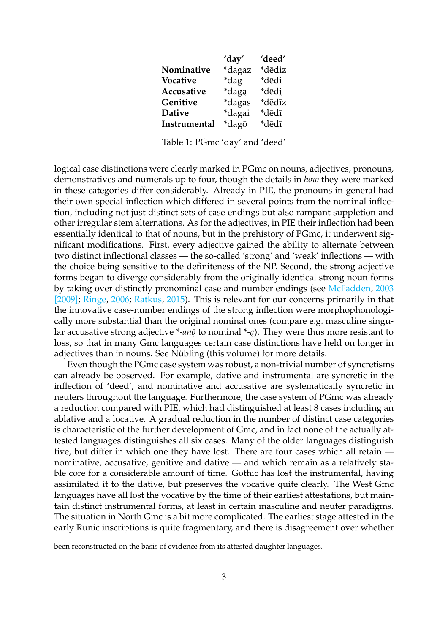|                 | 'day'  | 'deed' |
|-----------------|--------|--------|
| Nominative      | *dagaz | *dēdiz |
| <b>Vocative</b> | *dag   | *dēdi  |
| Accusative      | *daga  | *dēdį  |
| Genitive        | *dagas | *dēdīz |
| <b>Dative</b>   | *dagai | *dēdī  |
| Instrumental    | *dagō  | *dēdī  |

<span id="page-2-0"></span>Table 1: PGmc 'day' and 'deed'

logical case distinctions were clearly marked in PGmc on nouns, adjectives, pronouns, demonstratives and numerals up to four, though the details in *how* they were marked in these categories differ considerably. Already in PIE, the pronouns in general had their own special inflection which differed in several points from the nominal inflection, including not just distinct sets of case endings but also rampant suppletion and other irregular stem alternations. As for the adjectives, in PIE their inflection had been essentially identical to that of nouns, but in the prehistory of PGmc, it underwent significant modifications. First, every adjective gained the ability to alternate between two distinct inflectional classes — the so-called 'strong' and 'weak' inflections — with the choice being sensitive to the definiteness of the NP. Second, the strong adjective forms began to diverge considerably from the originally identical strong noun forms by taking over distinctly pronominal case and number endings (see [McFadden,](#page-24-0) [2003](#page-24-0) [\[2009\];](#page-24-0) [Ringe,](#page-25-0) [2006;](#page-25-0) [Ratkus,](#page-25-2) [2015\)](#page-25-2). This is relevant for our concerns primarily in that the innovative case-number endings of the strong inflection were morphophonologically more substantial than the original nominal ones (compare e.g. masculine singular accusative strong adjective \*-*an*<sup> $\bar{p}$ </sup> to nominal \*-*a*). They were thus more resistant to loss, so that in many Gmc languages certain case distinctions have held on longer in adjectives than in nouns. See Nübling (this volume) for more details.

Even though the PGmc case system was robust, a non-trivial number of syncretisms can already be observed. For example, dative and instrumental are syncretic in the inflection of 'deed', and nominative and accusative are systematically syncretic in neuters throughout the language. Furthermore, the case system of PGmc was already a reduction compared with PIE, which had distinguished at least 8 cases including an ablative and a locative. A gradual reduction in the number of distinct case categories is characteristic of the further development of Gmc, and in fact none of the actually attested languages distinguishes all six cases. Many of the older languages distinguish five, but differ in which one they have lost. There are four cases which all retain nominative, accusative, genitive and dative — and which remain as a relatively stable core for a considerable amount of time. Gothic has lost the instrumental, having assimilated it to the dative, but preserves the vocative quite clearly. The West Gmc languages have all lost the vocative by the time of their earliest attestations, but maintain distinct instrumental forms, at least in certain masculine and neuter paradigms. The situation in North Gmc is a bit more complicated. The earliest stage attested in the early Runic inscriptions is quite fragmentary, and there is disagreement over whether

been reconstructed on the basis of evidence from its attested daughter languages.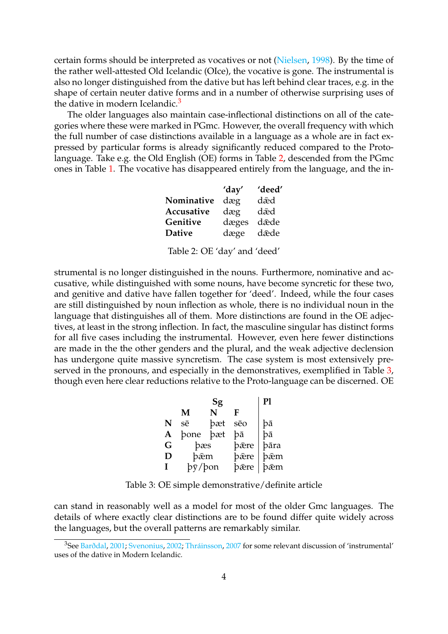certain forms should be interpreted as vocatives or not [\(Nielsen,](#page-25-3) [1998\)](#page-25-3). By the time of the rather well-attested Old Icelandic (OIce), the vocative is gone. The instrumental is also no longer distinguished from the dative but has left behind clear traces, e.g. in the shape of certain neuter dative forms and in a number of otherwise surprising uses of the dative in modern Icelandic. $3$ 

The older languages also maintain case-inflectional distinctions on all of the categories where these were marked in PGmc. However, the overall frequency with which the full number of case distinctions available in a language as a whole are in fact expressed by particular forms is already significantly reduced compared to the Protolanguage. Take e.g. the Old English (OE) forms in Table [2,](#page-3-1) descended from the PGmc ones in Table [1.](#page-2-0) The vocative has disappeared entirely from the language, and the in-

|               | 'day' | 'deed' |
|---------------|-------|--------|
| Nominative    | dæg   | dæd    |
| Accusative    | dæg   | dæd    |
| Genitive      | dæges | dæde   |
| <b>Dative</b> | dæge  | dæde   |
|               |       |        |

<span id="page-3-1"></span>Table 2: OE 'day' and 'deed'

strumental is no longer distinguished in the nouns. Furthermore, nominative and accusative, while distinguished with some nouns, have become syncretic for these two, and genitive and dative have fallen together for 'deed'. Indeed, while the four cases are still distinguished by noun inflection as whole, there is no individual noun in the language that distinguishes all of them. More distinctions are found in the OE adjectives, at least in the strong inflection. In fact, the masculine singular has distinct forms for all five cases including the instrumental. However, even here fewer distinctions are made in the the other genders and the plural, and the weak adjective declension has undergone quite massive syncretism. The case system is most extensively preserved in the pronouns, and especially in the demonstratives, exemplified in Table [3,](#page-3-2) though even here clear reductions relative to the Proto-language can be discerned. OE

|   | Sg              |     |      |              |
|---|-----------------|-----|------|--------------|
|   | M               | N   | F    |              |
| N | sē              | þæt | sēo  | þā           |
| A | bone bæt        |     | þā   | Бā           |
| G | þæs             |     | þære | <b>b</b> āra |
| D | þæm             |     | þære | þæm          |
|   | $b\bar{y}/b$ on |     | þære | þæm          |

<span id="page-3-2"></span>Table 3: OE simple demonstrative/definite article

can stand in reasonably well as a model for most of the older Gmc languages. The details of where exactly clear distinctions are to be found differ quite widely across the languages, but the overall patterns are remarkably similar.

<span id="page-3-0"></span><sup>&</sup>lt;sup>3</sup>See [Barðdal,](#page-22-0) [2001;](#page-22-0) [Svenonius,](#page-26-0) [2002;](#page-26-0) [Thráinsson,](#page-26-1) [2007](#page-26-1) for some relevant discussion of 'instrumental' uses of the dative in Modern Icelandic.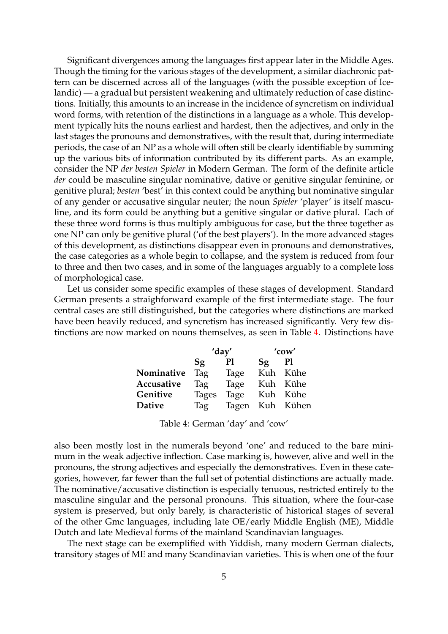Significant divergences among the languages first appear later in the Middle Ages. Though the timing for the various stages of the development, a similar diachronic pattern can be discerned across all of the languages (with the possible exception of Icelandic) — a gradual but persistent weakening and ultimately reduction of case distinctions. Initially, this amounts to an increase in the incidence of syncretism on individual word forms, with retention of the distinctions in a language as a whole. This development typically hits the nouns earliest and hardest, then the adjectives, and only in the last stages the pronouns and demonstratives, with the result that, during intermediate periods, the case of an NP as a whole will often still be clearly identifiable by summing up the various bits of information contributed by its different parts. As an example, consider the NP *der besten Spieler* in Modern German. The form of the definite article *der* could be masculine singular nominative, dative or genitive singular feminine, or genitive plural; *besten* 'best' in this context could be anything but nominative singular of any gender or accusative singular neuter; the noun *Spieler* 'player' is itself masculine, and its form could be anything but a genitive singular or dative plural. Each of these three word forms is thus multiply ambiguous for case, but the three together as one NP can only be genitive plural ('of the best players'). In the more advanced stages of this development, as distinctions disappear even in pronouns and demonstratives, the case categories as a whole begin to collapse, and the system is reduced from four to three and then two cases, and in some of the languages arguably to a complete loss of morphological case.

Let us consider some specific examples of these stages of development. Standard German presents a straighforward example of the first intermediate stage. The four central cases are still distinguished, but the categories where distinctions are marked have been heavily reduced, and syncretism has increased significantly. Very few distinctions are now marked on nouns themselves, as seen in Table [4.](#page-4-0) Distinctions have

| 'day'        |                | 'cow' |                                  |
|--------------|----------------|-------|----------------------------------|
| Sg           | P <sub>1</sub> | Sg    | P1                               |
| Tag          | Tage           |       | Kuh Kühe                         |
| Tag          |                |       |                                  |
| <b>Tages</b> | Tage           |       | Kuh Kühe                         |
| Tag          |                |       |                                  |
|              |                |       | Tage Kuh Kühe<br>Tagen Kuh Kühen |

<span id="page-4-0"></span>Table 4: German 'day' and 'cow'

also been mostly lost in the numerals beyond 'one' and reduced to the bare minimum in the weak adjective inflection. Case marking is, however, alive and well in the pronouns, the strong adjectives and especially the demonstratives. Even in these categories, however, far fewer than the full set of potential distinctions are actually made. The nominative/accusative distinction is especially tenuous, restricted entirely to the masculine singular and the personal pronouns. This situation, where the four-case system is preserved, but only barely, is characteristic of historical stages of several of the other Gmc languages, including late OE/early Middle English (ME), Middle Dutch and late Medieval forms of the mainland Scandinavian languages.

The next stage can be exemplified with Yiddish, many modern German dialects, transitory stages of ME and many Scandinavian varieties. This is when one of the four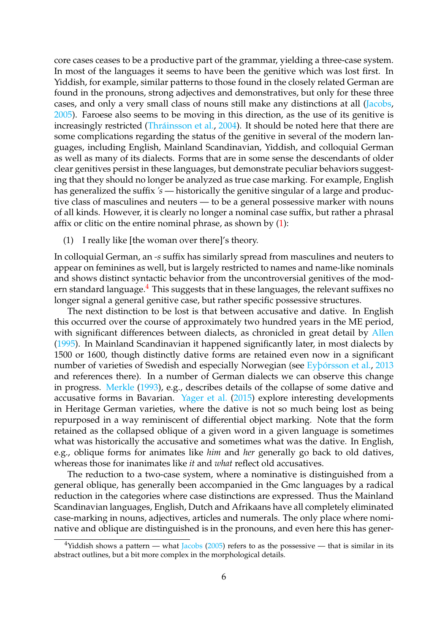core cases ceases to be a productive part of the grammar, yielding a three-case system. In most of the languages it seems to have been the genitive which was lost first. In Yiddish, for example, similar patterns to those found in the closely related German are found in the pronouns, strong adjectives and demonstratives, but only for these three cases, and only a very small class of nouns still make any distinctions at all [\(Jacobs,](#page-24-1) [2005\)](#page-24-1). Faroese also seems to be moving in this direction, as the use of its genitive is increasingly restricted [\(Thráinsson et al.,](#page-26-2) [2004\)](#page-26-2). It should be noted here that there are some complications regarding the status of the genitive in several of the modern languages, including English, Mainland Scandinavian, Yiddish, and colloquial German as well as many of its dialects. Forms that are in some sense the descendants of older clear genitives persist in these languages, but demonstrate peculiar behaviors suggesting that they should no longer be analyzed as true case marking. For example, English has generalized the suffix *'s* — historically the genitive singular of a large and productive class of masculines and neuters — to be a general possessive marker with nouns of all kinds. However, it is clearly no longer a nominal case suffix, but rather a phrasal affix or clitic on the entire nominal phrase, as shown by  $(1)$ :

<span id="page-5-0"></span>(1) I really like [the woman over there]'s theory.

In colloquial German, an *-s* suffix has similarly spread from masculines and neuters to appear on feminines as well, but is largely restricted to names and name-like nominals and shows distinct syntactic behavior from the uncontroversial genitives of the modern standard language. $4$  This suggests that in these languages, the relevant suffixes no longer signal a general genitive case, but rather specific possessive structures.

The next distinction to be lost is that between accusative and dative. In English this occurred over the course of approximately two hundred years in the ME period, with significant differences between dialects, as chronicled in great detail by [Allen](#page-22-1) [\(1995\)](#page-22-1). In Mainland Scandinavian it happened significantly later, in most dialects by 1500 or 1600, though distinctly dative forms are retained even now in a significant number of varieties of Swedish and especially Norwegian (see [Eyþórsson et al.,](#page-23-2) [2013](#page-23-2) and references there). In a number of German dialects we can observe this change in progress. [Merkle](#page-25-4) [\(1993\)](#page-25-4), e.g., describes details of the collapse of some dative and accusative forms in Bavarian. [Yager et al.](#page-27-0) [\(2015\)](#page-27-0) explore interesting developments in Heritage German varieties, where the dative is not so much being lost as being repurposed in a way reminiscent of differential object marking. Note that the form retained as the collapsed oblique of a given word in a given language is sometimes what was historically the accusative and sometimes what was the dative. In English, e.g., oblique forms for animates like *him* and *her* generally go back to old datives, whereas those for inanimates like *it* and *what* reflect old accusatives.

The reduction to a two-case system, where a nominative is distinguished from a general oblique, has generally been accompanied in the Gmc languages by a radical reduction in the categories where case distinctions are expressed. Thus the Mainland Scandinavian languages, English, Dutch and Afrikaans have all completely eliminated case-marking in nouns, adjectives, articles and numerals. The only place where nominative and oblique are distinguished is in the pronouns, and even here this has gener-

<span id="page-5-1"></span><sup>&</sup>lt;sup>4</sup>Yiddish shows a pattern — what [Jacobs](#page-24-1) [\(2005\)](#page-24-1) refers to as the possessive — that is similar in its abstract outlines, but a bit more complex in the morphological details.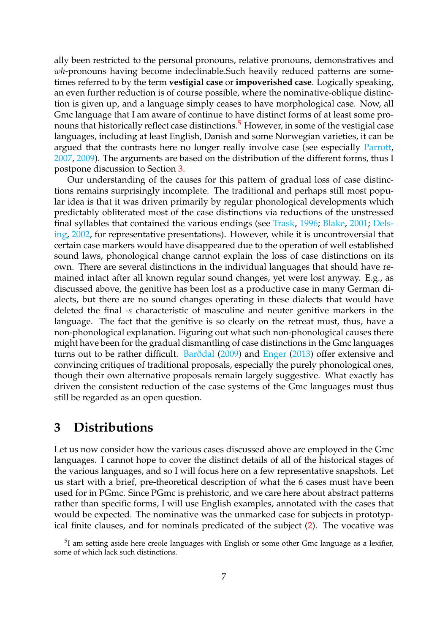ally been restricted to the personal pronouns, relative pronouns, demonstratives and *wh*-pronouns having become indeclinable.Such heavily reduced patterns are sometimes referred to by the term **vestigial case** or **impoverished case**. Logically speaking, an even further reduction is of course possible, where the nominative-oblique distinction is given up, and a language simply ceases to have morphological case. Now, all Gmc language that I am aware of continue to have distinct forms of at least some pro-nouns that historically reflect case distinctions.<sup>[5](#page-6-1)</sup> However, in some of the vestigial case languages, including at least English, Danish and some Norwegian varieties, it can be argued that the contrasts here no longer really involve case (see especially [Parrott,](#page-25-5) [2007,](#page-25-5) [2009\)](#page-25-6). The arguments are based on the distribution of the different forms, thus I postpone discussion to Section [3.](#page-6-0)

Our understanding of the causes for this pattern of gradual loss of case distinctions remains surprisingly incomplete. The traditional and perhaps still most popular idea is that it was driven primarily by regular phonological developments which predictably obliterated most of the case distinctions via reductions of the unstressed final syllables that contained the various endings (see [Trask,](#page-26-3) [1996;](#page-26-3) [Blake,](#page-22-2) [2001;](#page-22-2) [Dels](#page-23-3)[ing,](#page-23-3) [2002,](#page-23-3) for representative presentations). However, while it is uncontroversial that certain case markers would have disappeared due to the operation of well established sound laws, phonological change cannot explain the loss of case distinctions on its own. There are several distinctions in the individual languages that should have remained intact after all known regular sound changes, yet were lost anyway. E.g., as discussed above, the genitive has been lost as a productive case in many German dialects, but there are no sound changes operating in these dialects that would have deleted the final *-s* characteristic of masculine and neuter genitive markers in the language. The fact that the genitive is so clearly on the retreat must, thus, have a non-phonological explanation. Figuring out what such non-phonological causes there might have been for the gradual dismantling of case distinctions in the Gmc languages turns out to be rather difficult. [Barðdal](#page-22-3) [\(2009\)](#page-22-3) and [Enger](#page-23-4) [\(2013\)](#page-23-4) offer extensive and convincing critiques of traditional proposals, especially the purely phonological ones, though their own alternative proposals remain largely suggestive. What exactly has driven the consistent reduction of the case systems of the Gmc languages must thus still be regarded as an open question.

## <span id="page-6-0"></span>**3 Distributions**

Let us now consider how the various cases discussed above are employed in the Gmc languages. I cannot hope to cover the distinct details of all of the historical stages of the various languages, and so I will focus here on a few representative snapshots. Let us start with a brief, pre-theoretical description of what the 6 cases must have been used for in PGmc. Since PGmc is prehistoric, and we care here about abstract patterns rather than specific forms, I will use English examples, annotated with the cases that would be expected. The nominative was the unmarked case for subjects in prototypical finite clauses, and for nominals predicated of the subject [\(2\)](#page-7-0). The vocative was

<span id="page-6-1"></span> $5$ I am setting aside here creole languages with English or some other Gmc language as a lexifier, some of which lack such distinctions.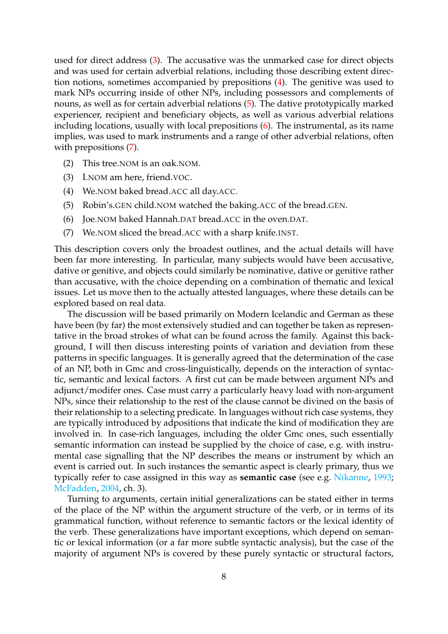used for direct address [\(3\)](#page-7-1). The accusative was the unmarked case for direct objects and was used for certain adverbial relations, including those describing extent direction notions, sometimes accompanied by prepositions [\(4\)](#page-7-2). The genitive was used to mark NPs occurring inside of other NPs, including possessors and complements of nouns, as well as for certain adverbial relations [\(5\)](#page-7-3). The dative prototypically marked experiencer, recipient and beneficiary objects, as well as various adverbial relations including locations, usually with local prepositions [\(6\)](#page-7-4). The instrumental, as its name implies, was used to mark instruments and a range of other adverbial relations, often with prepositions [\(7\)](#page-7-5).

- <span id="page-7-0"></span>(2) This tree.NOM is an oak.NOM.
- <span id="page-7-1"></span>(3) I.NOM am here, friend.VOC.
- <span id="page-7-2"></span>(4) We.NOM baked bread.ACC all day.ACC.
- <span id="page-7-3"></span>(5) Robin's.GEN child.NOM watched the baking.ACC of the bread.GEN.
- <span id="page-7-4"></span>(6) Joe.NOM baked Hannah.DAT bread.ACC in the oven.DAT.
- <span id="page-7-5"></span>(7) We.NOM sliced the bread.ACC with a sharp knife.INST.

This description covers only the broadest outlines, and the actual details will have been far more interesting. In particular, many subjects would have been accusative, dative or genitive, and objects could similarly be nominative, dative or genitive rather than accusative, with the choice depending on a combination of thematic and lexical issues. Let us move then to the actually attested languages, where these details can be explored based on real data.

The discussion will be based primarily on Modern Icelandic and German as these have been (by far) the most extensively studied and can together be taken as representative in the broad strokes of what can be found across the family. Against this background, I will then discuss interesting points of variation and deviation from these patterns in specific languages. It is generally agreed that the determination of the case of an NP, both in Gmc and cross-linguistically, depends on the interaction of syntactic, semantic and lexical factors. A first cut can be made between argument NPs and adjunct/modifer ones. Case must carry a particularly heavy load with non-argument NPs, since their relationship to the rest of the clause cannot be divined on the basis of their relationship to a selecting predicate. In languages without rich case systems, they are typically introduced by adpositions that indicate the kind of modification they are involved in. In case-rich languages, including the older Gmc ones, such essentially semantic information can instead be supplied by the choice of case, e.g. with instrumental case signalling that the NP describes the means or instrument by which an event is carried out. In such instances the semantic aspect is clearly primary, thus we typically refer to case assigned in this way as **semantic case** (see e.g. [Nikanne,](#page-25-7) [1993;](#page-25-7) [McFadden,](#page-24-2) [2004,](#page-24-2) ch. 3).

Turning to arguments, certain initial generalizations can be stated either in terms of the place of the NP within the argument structure of the verb, or in terms of its grammatical function, without reference to semantic factors or the lexical identity of the verb. These generalizations have important exceptions, which depend on semantic or lexical information (or a far more subtle syntactic analysis), but the case of the majority of argument NPs is covered by these purely syntactic or structural factors,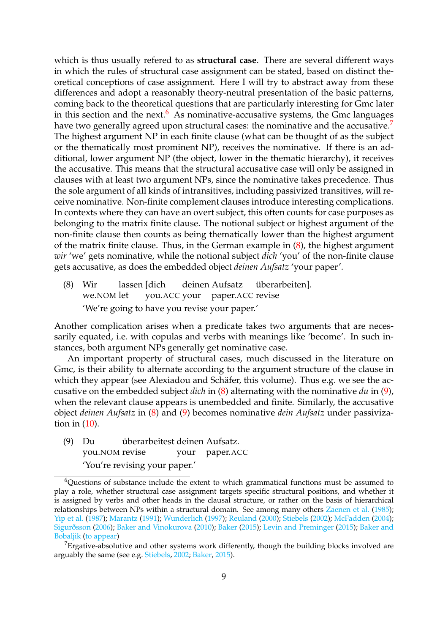which is thus usually refered to as **structural case**. There are several different ways in which the rules of structural case assignment can be stated, based on distinct theoretical conceptions of case assignment. Here I will try to abstract away from these differences and adopt a reasonably theory-neutral presentation of the basic patterns, coming back to the theoretical questions that are particularly interesting for Gmc later in this section and the next. $6$  As nominative-accusative systems, the Gmc languages have two generally agreed upon structural cases: the nominative and the accusative.<sup>[7](#page-8-1)</sup> The highest argument NP in each finite clause (what can be thought of as the subject or the thematically most prominent NP), receives the nominative. If there is an additional, lower argument NP (the object, lower in the thematic hierarchy), it receives the accusative. This means that the structural accusative case will only be assigned in clauses with at least two argument NPs, since the nominative takes precedence. Thus the sole argument of all kinds of intransitives, including passivized transitives, will receive nominative. Non-finite complement clauses introduce interesting complications. In contexts where they can have an overt subject, this often counts for case purposes as belonging to the matrix finite clause. The notional subject or highest argument of the non-finite clause then counts as being thematically lower than the highest argument of the matrix finite clause. Thus, in the German example in [\(8\)](#page-8-2), the highest argument *wir* 'we' gets nominative, while the notional subject *dich* 'you' of the non-finite clause gets accusative, as does the embedded object *deinen Aufsatz* 'your paper'.

<span id="page-8-2"></span>(8) Wir we.NOM let lassen [dich you.ACC your paper.ACC revise deinen Aufsatz überarbeiten]. 'We're going to have you revise your paper.'

Another complication arises when a predicate takes two arguments that are necessarily equated, i.e. with copulas and verbs with meanings like 'become'. In such instances, both argument NPs generally get nominative case.

An important property of structural cases, much discussed in the literature on Gmc, is their ability to alternate according to the argument structure of the clause in which they appear (see Alexiadou and Schäfer, this volume). Thus e.g. we see the accusative on the embedded subject *dich* in [\(8\)](#page-8-2) alternating with the nominative *du* in [\(9\)](#page-8-3), when the relevant clause appears is unembedded and finite. Similarly, the accusative object *deinen Aufsatz* in [\(8\)](#page-8-2) and [\(9\)](#page-8-3) becomes nominative *dein Aufsatz* under passivization in [\(10\)](#page-9-0).

<span id="page-8-3"></span>(9) Du you.NOM revise überarbeitest deinen Aufsatz. your paper.ACC 'You're revising your paper.'

<span id="page-8-0"></span> $6$ Questions of substance include the extent to which grammatical functions must be assumed to play a role, whether structural case assignment targets specific structural positions, and whether it is assigned by verbs and other heads in the clausal structure, or rather on the basis of hierarchical relationships between NPs within a structural domain. See among many others [Zaenen et al.](#page-27-1) [\(1985\)](#page-27-1); [Yip et al.](#page-27-2) [\(1987\)](#page-27-2); [Marantz](#page-24-3) [\(1991\)](#page-24-3); [Wunderlich](#page-27-3) [\(1997\)](#page-27-3); [Reuland](#page-25-8) [\(2000\)](#page-25-8); [Stiebels](#page-26-4) [\(2002\)](#page-26-4); [McFadden](#page-24-2) [\(2004\)](#page-24-2); [Sigurðsson](#page-26-5) [\(2006\)](#page-26-5); [Baker and Vinokurova](#page-22-4) [\(2010\)](#page-22-4); [Baker](#page-22-5) [\(2015\)](#page-22-5); [Levin and Preminger](#page-24-4) [\(2015\)](#page-24-4); [Baker and](#page-22-6) [Bobaljik](#page-22-6) [\(to appear\)](#page-22-6)

<span id="page-8-1"></span> $7$ Ergative-absolutive and other systems work differently, though the building blocks involved are arguably the same (see e.g. [Stiebels,](#page-26-4) [2002;](#page-26-4) [Baker,](#page-22-5) [2015\)](#page-22-5).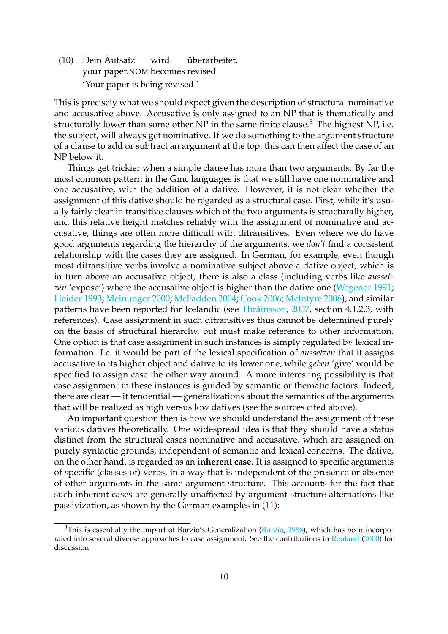<span id="page-9-0"></span>(10) Dein Aufsatz your paper.NOM becomes revised wird überarbeitet. 'Your paper is being revised.'

This is precisely what we should expect given the description of structural nominative and accusative above. Accusative is only assigned to an NP that is thematically and structurally lower than some other NP in the same finite clause.<sup>[8](#page-9-1)</sup> The highest NP, i.e. the subject, will always get nominative. If we do something to the argument structure of a clause to add or subtract an argument at the top, this can then affect the case of an NP below it.

Things get trickier when a simple clause has more than two arguments. By far the most common pattern in the Gmc languages is that we still have one nominative and one accusative, with the addition of a dative. However, it is not clear whether the assignment of this dative should be regarded as a structural case. First, while it's usually fairly clear in transitive clauses which of the two arguments is structurally higher, and this relative height matches reliably with the assignment of nominative and accusative, things are often more difficult with ditransitives. Even where we do have good arguments regarding the hierarchy of the arguments, we *don't* find a consistent relationship with the cases they are assigned. In German, for example, even though most ditransitive verbs involve a nominative subject above a dative object, which is in turn above an accusative object, there is also a class (including verbs like *aussetzen* 'expose') where the accusative object is higher than the dative one [\(Wegener](#page-26-6) [1991;](#page-26-6) [Haider](#page-23-5) [1993;](#page-23-5) [Meinunger](#page-25-9) [2000;](#page-25-9) [McFadden](#page-24-2) [2004;](#page-24-2) [Cook](#page-23-6) [2006;](#page-23-6) [McIntyre](#page-25-10) [2006\)](#page-25-10), and similar patterns have been reported for Icelandic (see [Thráinsson,](#page-26-1) [2007,](#page-26-1) section 4.1.2.3, with references). Case assignment in such ditransitives thus cannot be determined purely on the basis of structural hierarchy, but must make reference to other information. One option is that case assignment in such instances is simply regulated by lexical information. I.e. it would be part of the lexical specification of *aussetzen* that it assigns accusative to its higher object and dative to its lower one, while *geben* 'give' would be specified to assign case the other way around. A more interesting possibility is that case assignment in these instances is guided by semantic or thematic factors. Indeed, there are clear — if tendential — generalizations about the semantics of the arguments that will be realized as high versus low datives (see the sources cited above).

An important question then is how we should understand the assignment of these various datives theoretically. One widespread idea is that they should have a status distinct from the structural cases nominative and accusative, which are assigned on purely syntactic grounds, independent of semantic and lexical concerns. The dative, on the other hand, is regarded as an **inherent case**. It is assigned to specific arguments of specific (classes of) verbs, in a way that is independent of the presence or absence of other arguments in the same argument structure. This accounts for the fact that such inherent cases are generally unaffected by argument structure alternations like passivization, as shown by the German examples in  $(11)$ :

<span id="page-9-2"></span><span id="page-9-1"></span><sup>&</sup>lt;sup>8</sup>This is essentially the import of Burzio's Generalization [\(Burzio,](#page-23-7) [1986\)](#page-23-7), which has been incorporated into several diverse approaches to case assignment. See the contributions in [Reuland](#page-25-8) [\(2000\)](#page-25-8) for discussion.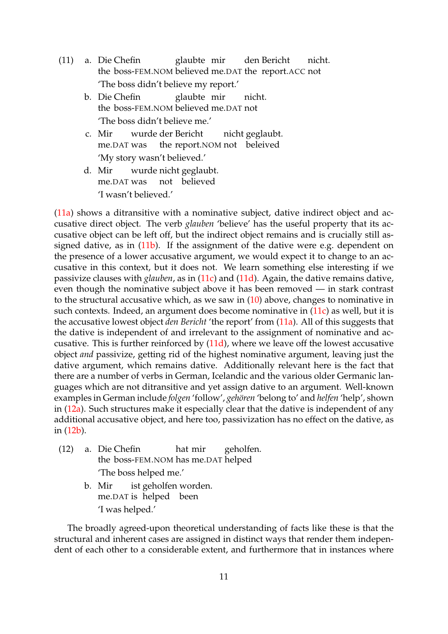- <span id="page-10-2"></span><span id="page-10-1"></span><span id="page-10-0"></span>(11) a. Die Chefin the boss-FEM.NOM believed me.DAT the report.ACC not glaubte mir den Bericht nicht. 'The boss didn't believe my report.'
	- b. Die Chefin the boss-FEM.NOM believed me.DAT not glaubte mir nicht. 'The boss didn't believe me.'
	- c. Mir me.DAT was wurde der Bericht the report.NOM not beleived nicht geglaubt. 'My story wasn't believed.'
	- d. Mir me.DAT was wurde nicht geglaubt. not believed 'I wasn't believed.'

<span id="page-10-3"></span>[\(11a\)](#page-10-0) shows a ditransitive with a nominative subject, dative indirect object and accusative direct object. The verb *glauben* 'believe' has the useful property that its accusative object can be left off, but the indirect object remains and is crucially still assigned dative, as in  $(11b)$ . If the assignment of the dative were e.g. dependent on the presence of a lower accusative argument, we would expect it to change to an accusative in this context, but it does not. We learn something else interesting if we passivize clauses with *glauben*, as in [\(11c\)](#page-10-2) and [\(11d\)](#page-10-3). Again, the dative remains dative, even though the nominative subject above it has been removed — in stark contrast to the structural accusative which, as we saw in  $(10)$  above, changes to nominative in such contexts. Indeed, an argument does become nominative in [\(11c\)](#page-10-2) as well, but it is the accusative lowest object *den Bericht* 'the report' from [\(11a\)](#page-10-0). All of this suggests that the dative is independent of and irrelevant to the assignment of nominative and accusative. This is further reinforced by [\(11d\)](#page-10-3), where we leave off the lowest accusative object *and* passivize, getting rid of the highest nominative argument, leaving just the dative argument, which remains dative. Additionally relevant here is the fact that there are a number of verbs in German, Icelandic and the various older Germanic languages which are not ditransitive and yet assign dative to an argument. Well-known examples in German include *folgen* 'follow', *gehören* 'belong to' and *helfen* 'help', shown in [\(12a\)](#page-10-4). Such structures make it especially clear that the dative is independent of any additional accusative object, and here too, passivization has no effect on the dative, as in [\(12b\)](#page-10-5).

- <span id="page-10-5"></span><span id="page-10-4"></span>(12) a. Die Chefin the boss-FEM.NOM has me.DAT helped hat mir geholfen. 'The boss helped me.'
	- b. Mir me.DAT is helped been ist geholfen worden. 'I was helped.'

The broadly agreed-upon theoretical understanding of facts like these is that the structural and inherent cases are assigned in distinct ways that render them independent of each other to a considerable extent, and furthermore that in instances where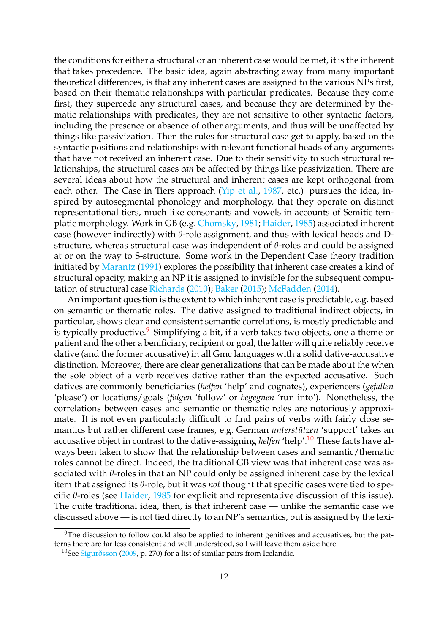the conditions for either a structural or an inherent case would be met, it is the inherent that takes precedence. The basic idea, again abstracting away from many important theoretical differences, is that any inherent cases are assigned to the various NPs first, based on their thematic relationships with particular predicates. Because they come first, they supercede any structural cases, and because they are determined by thematic relationships with predicates, they are not sensitive to other syntactic factors, including the presence or absence of other arguments, and thus will be unaffected by things like passivization. Then the rules for structural case get to apply, based on the syntactic positions and relationships with relevant functional heads of any arguments that have not received an inherent case. Due to their sensitivity to such structural relationships, the structural cases *can* be affected by things like passivization. There are several ideas about how the structural and inherent cases are kept orthogonal from each other. The Case in Tiers approach [\(Yip et al.,](#page-27-2) [1987,](#page-27-2) etc.) pursues the idea, inspired by autosegmental phonology and morphology, that they operate on distinct representational tiers, much like consonants and vowels in accounts of Semitic templatic morphology. Work in GB (e.g. [Chomsky,](#page-23-8) [1981;](#page-23-8) [Haider,](#page-23-9) [1985\)](#page-23-9) associated inherent case (however indirectly) with *θ*-role assignment, and thus with lexical heads and Dstructure, whereas structural case was independent of *θ*-roles and could be assigned at or on the way to S-structure. Some work in the Dependent Case theory tradition initiated by [Marantz](#page-24-3) [\(1991\)](#page-24-3) explores the possibility that inherent case creates a kind of structural opacity, making an NP it is assigned to invisible for the subsequent computation of structural case [Richards](#page-25-11) [\(2010\)](#page-25-11); [Baker](#page-22-5) [\(2015\)](#page-22-5); [McFadden](#page-25-12) [\(2014\)](#page-25-12).

An important question is the extent to which inherent case is predictable, e.g. based on semantic or thematic roles. The dative assigned to traditional indirect objects, in particular, shows clear and consistent semantic correlations, is mostly predictable and is typically productive.<sup>[9](#page-11-0)</sup> Simplifying a bit, if a verb takes two objects, one a theme or patient and the other a benificiary, recipient or goal, the latter will quite reliably receive dative (and the former accusative) in all Gmc languages with a solid dative-accusative distinction. Moreover, there are clear generalizations that can be made about the when the sole object of a verb receives dative rather than the expected accusative. Such datives are commonly beneficiaries (*helfen* 'help' and cognates), experiencers (*gefallen* 'please') or locations/goals (*folgen* 'follow' or *begegnen* 'run into'). Nonetheless, the correlations between cases and semantic or thematic roles are notoriously approximate. It is not even particularly difficult to find pairs of verbs with fairly close semantics but rather different case frames, e.g. German *unterstützen* 'support' takes an accusative object in contrast to the dative-assigning *helfen* 'help'.<sup>[10](#page-11-1)</sup> These facts have always been taken to show that the relationship between cases and semantic/thematic roles cannot be direct. Indeed, the traditional GB view was that inherent case was associated with *θ*-roles in that an NP could only be assigned inherent case by the lexical item that assigned its *θ*-role, but it was *not* thought that specific cases were tied to specific *θ*-roles (see [Haider,](#page-23-9) [1985](#page-23-9) for explicit and representative discussion of this issue). The quite traditional idea, then, is that inherent case — unlike the semantic case we discussed above — is not tied directly to an NP's semantics, but is assigned by the lexi-

<span id="page-11-0"></span> $9$ The discussion to follow could also be applied to inherent genitives and accusatives, but the patterns there are far less consistent and well understood, so I will leave them aside here.

<span id="page-11-1"></span><sup>&</sup>lt;sup>10</sup>See [Sigurðsson](#page-26-7) [\(2009,](#page-26-7) p. 270) for a list of similar pairs from Icelandic.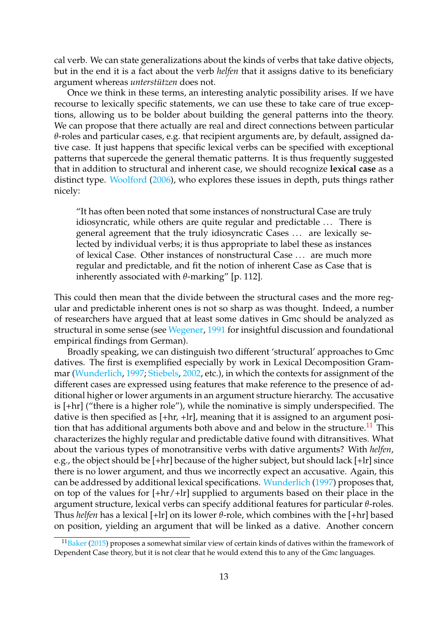cal verb. We can state generalizations about the kinds of verbs that take dative objects, but in the end it is a fact about the verb *helfen* that it assigns dative to its beneficiary argument whereas *unterstützen* does not.

Once we think in these terms, an interesting analytic possibility arises. If we have recourse to lexically specific statements, we can use these to take care of true exceptions, allowing us to be bolder about building the general patterns into the theory. We can propose that there actually are real and direct connections between particular *θ*-roles and particular cases, e.g. that recipient arguments are, by default, assigned dative case. It just happens that specific lexical verbs can be specified with exceptional patterns that supercede the general thematic patterns. It is thus frequently suggested that in addition to structural and inherent case, we should recognize **lexical case** as a distinct type. [Woolford](#page-26-8) [\(2006\)](#page-26-8), who explores these issues in depth, puts things rather nicely:

"It has often been noted that some instances of nonstructural Case are truly idiosyncratic, while others are quite regular and predictable ... There is general agreement that the truly idiosyncratic Cases . . . are lexically selected by individual verbs; it is thus appropriate to label these as instances of lexical Case. Other instances of nonstructural Case . . . are much more regular and predictable, and fit the notion of inherent Case as Case that is inherently associated with *θ*-marking" [p. 112].

This could then mean that the divide between the structural cases and the more regular and predictable inherent ones is not so sharp as was thought. Indeed, a number of researchers have argued that at least some datives in Gmc should be analyzed as structural in some sense (see [Wegener,](#page-26-6) [1991](#page-26-6) for insightful discussion and foundational empirical findings from German).

Broadly speaking, we can distinguish two different 'structural' approaches to Gmc datives. The first is exemplified especially by work in Lexical Decomposition Grammar [\(Wunderlich,](#page-27-3) [1997;](#page-27-3) [Stiebels,](#page-26-4) [2002,](#page-26-4) etc.), in which the contexts for assignment of the different cases are expressed using features that make reference to the presence of additional higher or lower arguments in an argument structure hierarchy. The accusative is [+hr] ("there is a higher role"), while the nominative is simply underspecified. The dative is then specified as  $[+hr, +lr]$ , meaning that it is assigned to an argument posi-tion that has additional arguments both above and and below in the structure.<sup>[11](#page-12-0)</sup> This characterizes the highly regular and predictable dative found with ditransitives. What about the various types of monotransitive verbs with dative arguments? With *helfen*, e.g., the object should be [+hr] because of the higher subject, but should lack [+lr] since there is no lower argument, and thus we incorrectly expect an accusative. Again, this can be addressed by additional lexical specifications. [Wunderlich](#page-27-3) [\(1997\)](#page-27-3) proposes that, on top of the values for [+hr/+lr] supplied to arguments based on their place in the argument structure, lexical verbs can specify additional features for particular *θ*-roles. Thus *helfen* has a lexical [+lr] on its lower *θ*-role, which combines with the [+hr] based on position, yielding an argument that will be linked as a dative. Another concern

<span id="page-12-0"></span> $11<sub>Baker</sub>$  $11<sub>Baker</sub>$  $11<sub>Baker</sub>$  [\(2015\)](#page-22-5) proposes a somewhat similar view of certain kinds of datives within the framework of Dependent Case theory, but it is not clear that he would extend this to any of the Gmc languages.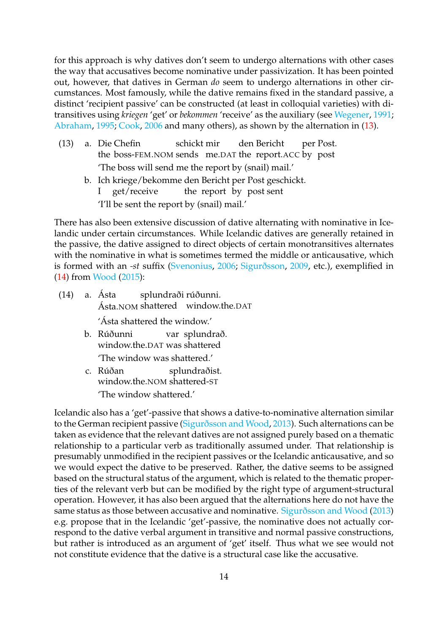for this approach is why datives don't seem to undergo alternations with other cases the way that accusatives become nominative under passivization. It has been pointed out, however, that datives in German *do* seem to undergo alternations in other circumstances. Most famously, while the dative remains fixed in the standard passive, a distinct 'recipient passive' can be constructed (at least in colloquial varieties) with ditransitives using *kriegen* 'get' or *bekommen* 'receive' as the auxiliary (see [Wegener,](#page-26-6) [1991;](#page-26-6) [Abraham,](#page-22-7) [1995;](#page-22-7) [Cook,](#page-23-6) [2006](#page-23-6) and many others), as shown by the alternation in [\(13\)](#page-13-0).

- <span id="page-13-0"></span>(13) a. Die Chefin the boss-FEM.NOM sends me.DAT the report.ACC by post schickt mir den Bericht per Post. 'The boss will send me the report by (snail) mail.'
	- b. Ich kriege/bekomme den Bericht per Post geschickt. I get/receive the report by post sent 'I'll be sent the report by (snail) mail.'

There has also been extensive discussion of dative alternating with nominative in Icelandic under certain circumstances. While Icelandic datives are generally retained in the passive, the dative assigned to direct objects of certain monotransitives alternates with the nominative in what is sometimes termed the middle or anticausative, which is formed with an *-st* suffix [\(Svenonius,](#page-26-9) [2006;](#page-26-9) [Sigurðsson,](#page-26-7) [2009,](#page-26-7) etc.), exemplified in [\(14\)](#page-13-1) from [Wood](#page-26-10) [\(2015\)](#page-26-10):

- <span id="page-13-1"></span>(14) a. Ásta Ásta.NOM shattered window.the.DAT splundraði rúðunni. 'Ásta shattered the window.'
	- b. Rúðunni window.the.DAT was shattered var splundrað. 'The window was shattered.'
	- c. Rúðan window.the.NOM shattered-ST splundraðist. 'The window shattered.'

Icelandic also has a 'get'-passive that shows a dative-to-nominative alternation similar to the German recipient passive [\(Sigurðsson and Wood,](#page-26-11) [2013\)](#page-26-11). Such alternations can be taken as evidence that the relevant datives are not assigned purely based on a thematic relationship to a particular verb as traditionally assumed under. That relationship is presumably unmodified in the recipient passives or the Icelandic anticausative, and so we would expect the dative to be preserved. Rather, the dative seems to be assigned based on the structural status of the argument, which is related to the thematic properties of the relevant verb but can be modified by the right type of argument-structural operation. However, it has also been argued that the alternations here do not have the same status as those between accusative and nominative. [Sigurðsson and Wood](#page-26-11) [\(2013\)](#page-26-11) e.g. propose that in the Icelandic 'get'-passive, the nominative does not actually correspond to the dative verbal argument in transitive and normal passive constructions, but rather is introduced as an argument of 'get' itself. Thus what we see would not not constitute evidence that the dative is a structural case like the accusative.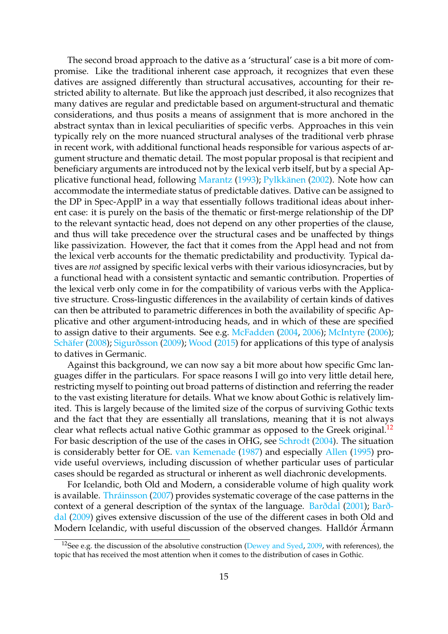The second broad approach to the dative as a 'structural' case is a bit more of compromise. Like the traditional inherent case approach, it recognizes that even these datives are assigned differently than structural accusatives, accounting for their restricted ability to alternate. But like the approach just described, it also recognizes that many datives are regular and predictable based on argument-structural and thematic considerations, and thus posits a means of assignment that is more anchored in the abstract syntax than in lexical peculiarities of specific verbs. Approaches in this vein typically rely on the more nuanced structural analyses of the traditional verb phrase in recent work, with additional functional heads responsible for various aspects of argument structure and thematic detail. The most popular proposal is that recipient and beneficiary arguments are introduced not by the lexical verb itself, but by a special Applicative functional head, following [Marantz](#page-24-5) [\(1993\)](#page-24-5); [Pylkkänen](#page-25-13) [\(2002\)](#page-25-13). Note how can accommodate the intermediate status of predictable datives. Dative can be assigned to the DP in Spec-ApplP in a way that essentially follows traditional ideas about inherent case: it is purely on the basis of the thematic or first-merge relationship of the DP to the relevant syntactic head, does not depend on any other properties of the clause, and thus will take precedence over the structural cases and be unaffected by things like passivization. However, the fact that it comes from the Appl head and not from the lexical verb accounts for the thematic predictability and productivity. Typical datives are *not* assigned by specific lexical verbs with their various idiosyncracies, but by a functional head with a consistent syntactic and semantic contribution. Properties of the lexical verb only come in for the compatibility of various verbs with the Applicative structure. Cross-lingustic differences in the availability of certain kinds of datives can then be attributed to parametric differences in both the availability of specific Applicative and other argument-introducing heads, and in which of these are specified to assign dative to their arguments. See e.g. [McFadden](#page-24-2) [\(2004,](#page-24-2) [2006\)](#page-25-14); [McIntyre](#page-25-10) [\(2006\)](#page-25-10); [Schäfer](#page-26-12) [\(2008\)](#page-26-12); [Sigurðsson](#page-26-7) [\(2009\)](#page-26-7); [Wood](#page-26-10) [\(2015\)](#page-26-10) for applications of this type of analysis to datives in Germanic.

Against this background, we can now say a bit more about how specific Gmc languages differ in the particulars. For space reasons I will go into very little detail here, restricting myself to pointing out broad patterns of distinction and referring the reader to the vast existing literature for details. What we know about Gothic is relatively limited. This is largely because of the limited size of the corpus of surviving Gothic texts and the fact that they are essentially all translations, meaning that it is not always clear what reflects actual native Gothic grammar as opposed to the Greek original.<sup>[12](#page-14-0)</sup> For basic description of the use of the cases in OHG, see [Schrodt](#page-26-13) [\(2004\)](#page-26-13). The situation is considerably better for OE. [van Kemenade](#page-24-6) [\(1987\)](#page-24-6) and especially [Allen](#page-22-1) [\(1995\)](#page-22-1) provide useful overviews, including discussion of whether particular uses of particular cases should be regarded as structural or inherent as well diachronic developments.

For Icelandic, both Old and Modern, a considerable volume of high quality work is available. [Thráinsson](#page-26-1) [\(2007\)](#page-26-1) provides systematic coverage of the case patterns in the context of a general description of the syntax of the language. [Barðdal](#page-22-0) [\(2001\)](#page-22-0); [Barð](#page-22-3)[dal](#page-22-3) [\(2009\)](#page-22-3) gives extensive discussion of the use of the different cases in both Old and Modern Icelandic, with useful discussion of the observed changes. Halldór Ármann

<span id="page-14-0"></span><sup>&</sup>lt;sup>12</sup>See e.g. the discussion of the absolutive construction [\(Dewey and Syed,](#page-23-10)  $2009$ , with references), the topic that has received the most attention when it comes to the distribution of cases in Gothic.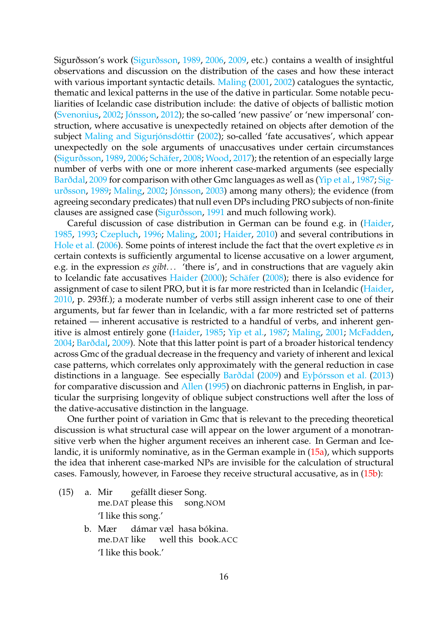Sigurðsson's work [\(Sigurðsson,](#page-26-14) [1989,](#page-26-14) [2006,](#page-26-5) [2009,](#page-26-7) etc.) contains a wealth of insightful observations and discussion on the distribution of the cases and how these interact with various important syntactic details. [Maling](#page-24-7) [\(2001,](#page-24-7) [2002\)](#page-24-8) catalogues the syntactic, thematic and lexical patterns in the use of the dative in particular. Some notable peculiarities of Icelandic case distribution include: the dative of objects of ballistic motion [\(Svenonius,](#page-26-0) [2002;](#page-26-0) [Jónsson,](#page-24-9) [2012\)](#page-24-9); the so-called 'new passive' or 'new impersonal' construction, where accusative is unexpectedly retained on objects after demotion of the subject [Maling and Sigurjónsdóttir](#page-24-10) [\(2002\)](#page-24-10); so-called 'fate accusatives', which appear unexpectedly on the sole arguments of unaccusatives under certain circumstances [\(Sigurðsson,](#page-26-14) [1989,](#page-26-14) [2006;](#page-26-5) [Schäfer,](#page-26-12) [2008;](#page-26-12) [Wood,](#page-26-15) [2017\)](#page-26-15); the retention of an especially large number of verbs with one or more inherent case-marked arguments (see especially [Barðdal,](#page-22-3) [2009](#page-22-3) for comparison with other Gmc languages as well as [\(Yip et al.,](#page-27-2) [1987;](#page-27-2) [Sig](#page-26-14)[urðsson,](#page-26-14) [1989;](#page-26-14) [Maling,](#page-24-8) [2002;](#page-24-8) [Jónsson,](#page-24-11) [2003\)](#page-24-11) among many others); the evidence (from agreeing secondary predicates) that null even DPs including PRO subjects of non-finite clauses are assigned case [\(Sigurðsson,](#page-26-16) [1991](#page-26-16) and much following work).

Careful discussion of case distribution in German can be found e.g. in [\(Haider,](#page-23-9) [1985,](#page-23-9) [1993;](#page-23-5) [Czepluch,](#page-23-11) [1996;](#page-23-11) [Maling,](#page-24-7) [2001;](#page-24-7) [Haider,](#page-23-12) [2010\)](#page-23-12) and several contributions in [Hole et al.](#page-23-13) [\(2006\)](#page-23-13). Some points of interest include the fact that the overt expletive *es* in certain contexts is sufficiently argumental to license accusative on a lower argument, e.g. in the expression *es gibt. . .* 'there is', and in constructions that are vaguely akin to Icelandic fate accusatives [Haider](#page-23-14) [\(2000\)](#page-23-14); [Schäfer](#page-26-12) [\(2008\)](#page-26-12); there is also evidence for assignment of case to silent PRO, but it is far more restricted than in Icelandic [\(Haider,](#page-23-12) [2010,](#page-23-12) p. 293ff.); a moderate number of verbs still assign inherent case to one of their arguments, but far fewer than in Icelandic, with a far more restricted set of patterns retained — inherent accusative is restricted to a handful of verbs, and inherent genitive is almost entirely gone [\(Haider,](#page-23-9) [1985;](#page-23-9) [Yip et al.,](#page-27-2) [1987;](#page-27-2) [Maling,](#page-24-7) [2001;](#page-24-7) [McFadden,](#page-24-2) [2004;](#page-24-2) [Barðdal,](#page-22-3) [2009\)](#page-22-3). Note that this latter point is part of a broader historical tendency across Gmc of the gradual decrease in the frequency and variety of inherent and lexical case patterns, which correlates only approximately with the general reduction in case distinctions in a language. See especially [Barðdal](#page-22-3) [\(2009\)](#page-22-3) and [Eyþórsson et al.](#page-23-2) [\(2013\)](#page-23-2) for comparative discussion and [Allen](#page-22-1) [\(1995\)](#page-22-1) on diachronic patterns in English, in particular the surprising longevity of oblique subject constructions well after the loss of the dative-accusative distinction in the language.

One further point of variation in Gmc that is relevant to the preceding theoretical discussion is what structural case will appear on the lower argument of a monotransitive verb when the higher argument receives an inherent case. In German and Icelandic, it is uniformly nominative, as in the German example in [\(15a\)](#page-15-0), which supports the idea that inherent case-marked NPs are invisible for the calculation of structural cases. Famously, however, in Faroese they receive structural accusative, as in [\(15b\)](#page-15-1):

- <span id="page-15-1"></span><span id="page-15-0"></span>(15) a. Mir me.DAT please this gefällt dieser Song. song.NOM 'I like this song.'
	- b. Mær me.DAT like dámar væl hasa bókina. well this book.ACC 'I like this book.'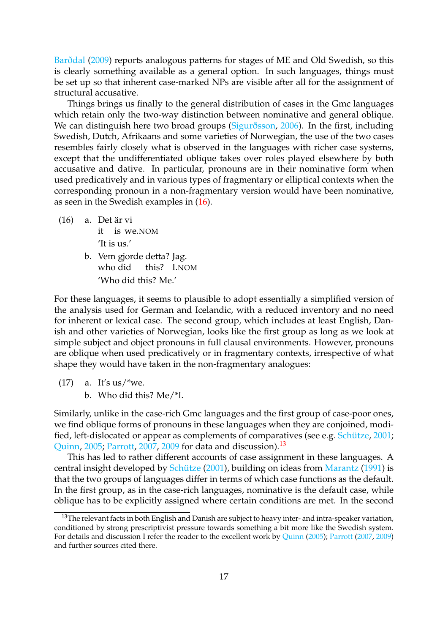[Barðdal](#page-22-3) [\(2009\)](#page-22-3) reports analogous patterns for stages of ME and Old Swedish, so this is clearly something available as a general option. In such languages, things must be set up so that inherent case-marked NPs are visible after all for the assignment of structural accusative.

Things brings us finally to the general distribution of cases in the Gmc languages which retain only the two-way distinction between nominative and general oblique. We can distinguish here two broad groups [\(Sigurðsson,](#page-26-5) [2006\)](#page-26-5). In the first, including Swedish, Dutch, Afrikaans and some varieties of Norwegian, the use of the two cases resembles fairly closely what is observed in the languages with richer case systems, except that the undifferentiated oblique takes over roles played elsewhere by both accusative and dative. In particular, pronouns are in their nominative form when used predicatively and in various types of fragmentary or elliptical contexts when the corresponding pronoun in a non-fragmentary version would have been nominative, as seen in the Swedish examples in [\(16\)](#page-16-0).

- <span id="page-16-0"></span>(16) a. Det är vi it is we.NOM 'It is us.'
	- b. Vem gjorde detta? Jag. who did this? I.NOM 'Who did this? Me.'

For these languages, it seems to plausible to adopt essentially a simplified version of the analysis used for German and Icelandic, with a reduced inventory and no need for inherent or lexical case. The second group, which includes at least English, Danish and other varieties of Norwegian, looks like the first group as long as we look at simple subject and object pronouns in full clausal environments. However, pronouns are oblique when used predicatively or in fragmentary contexts, irrespective of what shape they would have taken in the non-fragmentary analogues:

- (17) a. It's  $us$ /\*we.
	- b. Who did this? Me/\*I.

Similarly, unlike in the case-rich Gmc languages and the first group of case-poor ones, we find oblique forms of pronouns in these languages when they are conjoined, modified, left-dislocated or appear as complements of comparatives (see e.g. [Schütze,](#page-26-17) [2001;](#page-26-17) [Quinn,](#page-25-15) [2005;](#page-25-15) [Parrott,](#page-25-5) [2007,](#page-25-5) [2009](#page-25-6) for data and discussion).<sup>[13](#page-16-1)</sup>

This has led to rather different accounts of case assignment in these languages. A central insight developed by [Schütze](#page-26-17) [\(2001\)](#page-26-17), building on ideas from [Marantz](#page-24-3) [\(1991\)](#page-24-3) is that the two groups of languages differ in terms of which case functions as the default. In the first group, as in the case-rich languages, nominative is the default case, while oblique has to be explicitly assigned where certain conditions are met. In the second

<span id="page-16-1"></span><sup>&</sup>lt;sup>13</sup>The relevant facts in both English and Danish are subject to heavy inter- and intra-speaker variation, conditioned by strong prescriptivist pressure towards something a bit more like the Swedish system. For details and discussion I refer the reader to the excellent work by [Quinn](#page-25-15) [\(2005\)](#page-25-15); [Parrott](#page-25-5) [\(2007,](#page-25-5) [2009\)](#page-25-6) and further sources cited there.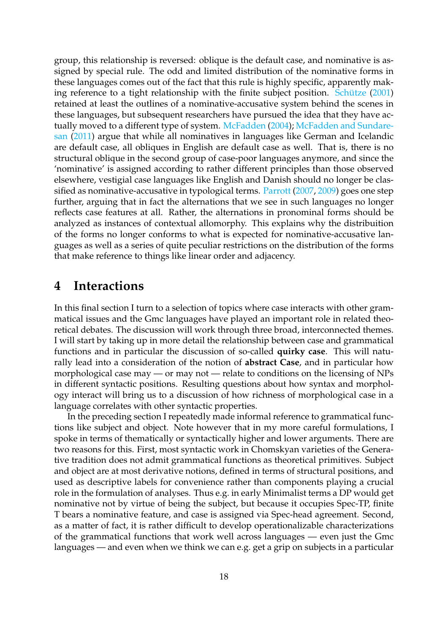group, this relationship is reversed: oblique is the default case, and nominative is assigned by special rule. The odd and limited distribution of the nominative forms in these languages comes out of the fact that this rule is highly specific, apparently making reference to a tight relationship with the finite subject position. [Schütze](#page-26-17) [\(2001\)](#page-26-17) retained at least the outlines of a nominative-accusative system behind the scenes in these languages, but subsequent researchers have pursued the idea that they have ac-tually moved to a different type of system. [McFadden](#page-24-2) [\(2004\)](#page-24-2); [McFadden and Sundare](#page-25-16)[san](#page-25-16) [\(2011\)](#page-25-16) argue that while all nominatives in languages like German and Icelandic are default case, all obliques in English are default case as well. That is, there is no structural oblique in the second group of case-poor languages anymore, and since the 'nominative' is assigned according to rather different principles than those observed elsewhere, vestigial case languages like English and Danish should no longer be classified as nominative-accusative in typological terms. [Parrott](#page-25-5) [\(2007,](#page-25-5) [2009\)](#page-25-6) goes one step further, arguing that in fact the alternations that we see in such languages no longer reflects case features at all. Rather, the alternations in pronominal forms should be analyzed as instances of contextual allomorphy. This explains why the distribuition of the forms no longer conforms to what is expected for nominative-accusative languages as well as a series of quite peculiar restrictions on the distribution of the forms that make reference to things like linear order and adjacency.

### <span id="page-17-0"></span>**4 Interactions**

In this final section I turn to a selection of topics where case interacts with other grammatical issues and the Gmc languages have played an important role in related theoretical debates. The discussion will work through three broad, interconnected themes. I will start by taking up in more detail the relationship between case and grammatical functions and in particular the discussion of so-called **quirky case**. This will naturally lead into a consideration of the notion of **abstract Case**, and in particular how morphological case may — or may not — relate to conditions on the licensing of  $NPs$ in different syntactic positions. Resulting questions about how syntax and morphology interact will bring us to a discussion of how richness of morphological case in a language correlates with other syntactic properties.

In the preceding section I repeatedly made informal reference to grammatical functions like subject and object. Note however that in my more careful formulations, I spoke in terms of thematically or syntactically higher and lower arguments. There are two reasons for this. First, most syntactic work in Chomskyan varieties of the Generative tradition does not admit grammatical functions as theoretical primitives. Subject and object are at most derivative notions, defined in terms of structural positions, and used as descriptive labels for convenience rather than components playing a crucial role in the formulation of analyses. Thus e.g. in early Minimalist terms a DP would get nominative not by virtue of being the subject, but because it occupies Spec-TP, finite T bears a nominative feature, and case is assigned via Spec-head agreement. Second, as a matter of fact, it is rather difficult to develop operationalizable characterizations of the grammatical functions that work well across languages — even just the Gmc languages — and even when we think we can e.g. get a grip on subjects in a particular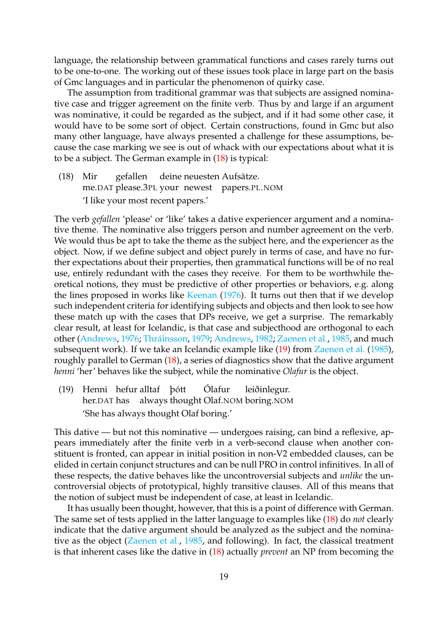language, the relationship between grammatical functions and cases rarely turns out to be one-to-one. The working out of these issues took place in large part on the basis of Gmc languages and in particular the phenomenon of quirky case.

The assumption from traditional grammar was that subjects are assigned nominative case and trigger agreement on the finite verb. Thus by and large if an argument was nominative, it could be regarded as the subject, and if it had some other case, it would have to be some sort of object. Certain constructions, found in Gmc but also many other language, have always presented a challenge for these assumptions, because the case marking we see is out of whack with our expectations about what it is to be a subject. The German example in [\(18\)](#page-18-0) is typical:

<span id="page-18-0"></span>(18) Mir me.DAT please.3PL your newest papers.PL.NOM gefallen deine neuesten Aufsätze. 'I like your most recent papers.'

The verb *gefallen* 'please' or 'like' takes a dative experiencer argument and a nominative theme. The nominative also triggers person and number agreement on the verb. We would thus be apt to take the theme as the subject here, and the experiencer as the object. Now, if we define subject and object purely in terms of case, and have no further expectations about their properties, then grammatical functions will be of no real use, entirely redundant with the cases they receive. For them to be worthwhile theoretical notions, they must be predictive of other properties or behaviors, e.g. along the lines proposed in works like [Keenan](#page-24-12) [\(1976\)](#page-24-12). It turns out then that if we develop such independent criteria for identifying subjects and objects and then look to see how these match up with the cases that DPs receive, we get a surprise. The remarkably clear result, at least for Icelandic, is that case and subjecthood are orthogonal to each other [\(Andrews,](#page-22-8) [1976;](#page-22-8) [Thráinsson,](#page-26-18) [1979;](#page-26-18) [Andrews,](#page-22-9) [1982;](#page-22-9) [Zaenen et al.,](#page-27-1) [1985,](#page-27-1) and much subsequent work). If we take an Icelandic example like [\(19\)](#page-18-1) from [Zaenen et al.](#page-27-1) [\(1985\)](#page-27-1), roughly parallel to German [\(18\)](#page-18-0), a series of diagnostics show that the dative argument *henni* 'her' behaves like the subject, while the nominative *Olafur* is the object.

<span id="page-18-1"></span>(19) Henni hefur alltaf þótt her.DAT has always thought Olaf.NOM boring.NOM Ólafur leiðinlegur. 'She has always thought Olaf boring.'

This dative — but not this nominative — undergoes raising, can bind a reflexive, appears immediately after the finite verb in a verb-second clause when another constituent is fronted, can appear in initial position in non-V2 embedded clauses, can be elided in certain conjunct structures and can be null PRO in control infinitives. In all of these respects, the dative behaves like the uncontroversial subjects and *unlike* the uncontroversial objects of prototypical, highly transitive clauses. All of this means that the notion of subject must be independent of case, at least in Icelandic.

It has usually been thought, however, that this is a point of difference with German. The same set of tests applied in the latter language to examples like [\(18\)](#page-18-0) do *not* clearly indicate that the dative argument should be analyzed as the subject and the nominative as the object [\(Zaenen et al.,](#page-27-1) [1985,](#page-27-1) and following). In fact, the classical treatment is that inherent cases like the dative in [\(18\)](#page-18-0) actually *prevent* an NP from becoming the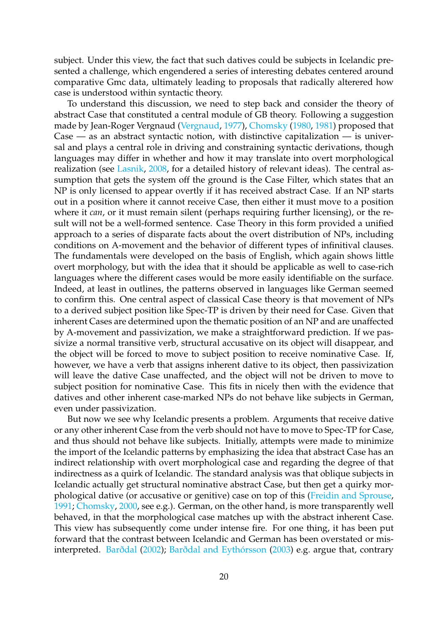subject. Under this view, the fact that such datives could be subjects in Icelandic presented a challenge, which engendered a series of interesting debates centered around comparative Gmc data, ultimately leading to proposals that radically alterered how case is understood within syntactic theory.

To understand this discussion, we need to step back and consider the theory of abstract Case that constituted a central module of GB theory. Following a suggestion made by Jean-Roger Vergnaud [\(Vergnaud,](#page-26-19) [1977\)](#page-26-19), [Chomsky](#page-23-15) [\(1980,](#page-23-15) [1981\)](#page-23-8) proposed that  $Case - as$  an abstract syntactic notion, with distinctive capitalization  $-$  is universal and plays a central role in driving and constraining syntactic derivations, though languages may differ in whether and how it may translate into overt morphological realization (see [Lasnik,](#page-24-13) [2008,](#page-24-13) for a detailed history of relevant ideas). The central assumption that gets the system off the ground is the Case Filter, which states that an NP is only licensed to appear overtly if it has received abstract Case. If an NP starts out in a position where it cannot receive Case, then either it must move to a position where it *can*, or it must remain silent (perhaps requiring further licensing), or the result will not be a well-formed sentence. Case Theory in this form provided a unified approach to a series of disparate facts about the overt distribution of NPs, including conditions on A-movement and the behavior of different types of infinitival clauses. The fundamentals were developed on the basis of English, which again shows little overt morphology, but with the idea that it should be applicable as well to case-rich languages where the different cases would be more easily identifiable on the surface. Indeed, at least in outlines, the patterns observed in languages like German seemed to confirm this. One central aspect of classical Case theory is that movement of NPs to a derived subject position like Spec-TP is driven by their need for Case. Given that inherent Cases are determined upon the thematic position of an NP and are unaffected by A-movement and passivization, we make a straightforward prediction. If we passivize a normal transitive verb, structural accusative on its object will disappear, and the object will be forced to move to subject position to receive nominative Case. If, however, we have a verb that assigns inherent dative to its object, then passivization will leave the dative Case unaffected, and the object will not be driven to move to subject position for nominative Case. This fits in nicely then with the evidence that datives and other inherent case-marked NPs do not behave like subjects in German, even under passivization.

But now we see why Icelandic presents a problem. Arguments that receive dative or any other inherent Case from the verb should not have to move to Spec-TP for Case, and thus should not behave like subjects. Initially, attempts were made to minimize the import of the Icelandic patterns by emphasizing the idea that abstract Case has an indirect relationship with overt morphological case and regarding the degree of that indirectness as a quirk of Icelandic. The standard analysis was that oblique subjects in Icelandic actually get structural nominative abstract Case, but then get a quirky morphological dative (or accusative or genitive) case on top of this [\(Freidin and Sprouse,](#page-23-16) [1991;](#page-23-16) [Chomsky,](#page-23-17) [2000,](#page-23-17) see e.g.). German, on the other hand, is more transparently well behaved, in that the morphological case matches up with the abstract inherent Case. This view has subsequently come under intense fire. For one thing, it has been put forward that the contrast between Icelandic and German has been overstated or misinterpreted. [Barðdal](#page-22-10) [\(2002\)](#page-22-10); [Barðdal and Eythórsson](#page-22-11) [\(2003\)](#page-22-11) e.g. argue that, contrary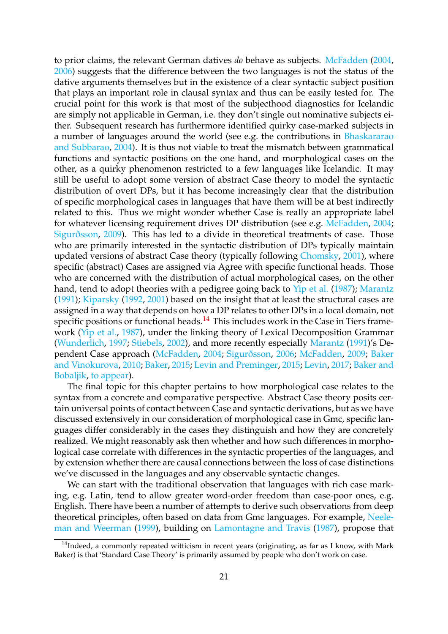to prior claims, the relevant German datives *do* behave as subjects. [McFadden](#page-24-2) [\(2004,](#page-24-2) [2006\)](#page-25-14) suggests that the difference between the two languages is not the status of the dative arguments themselves but in the existence of a clear syntactic subject position that plays an important role in clausal syntax and thus can be easily tested for. The crucial point for this work is that most of the subjecthood diagnostics for Icelandic are simply not applicable in German, i.e. they don't single out nominative subjects either. Subsequent research has furthermore identified quirky case-marked subjects in a number of languages around the world (see e.g. the contributions in [Bhaskararao](#page-22-12) [and Subbarao,](#page-22-12) [2004\)](#page-22-12). It is thus not viable to treat the mismatch between grammatical functions and syntactic positions on the one hand, and morphological cases on the other, as a quirky phenomenon restricted to a few languages like Icelandic. It may still be useful to adopt some version of abstract Case theory to model the syntactic distribution of overt DPs, but it has become increasingly clear that the distribution of specific morphological cases in languages that have them will be at best indirectly related to this. Thus we might wonder whether Case is really an appropriate label for whatever licensing requirement drives DP distribution (see e.g. [McFadden,](#page-24-2) [2004;](#page-24-2) [Sigurðsson,](#page-26-7) [2009\)](#page-26-7). This has led to a divide in theoretical treatments of case. Those who are primarily interested in the syntactic distribution of DPs typically maintain updated versions of abstract Case theory (typically following [Chomsky,](#page-23-18) [2001\)](#page-23-18), where specific (abstract) Cases are assigned via Agree with specific functional heads. Those who are concerned with the distribution of actual morphological cases, on the other hand, tend to adopt theories with a pedigree going back to [Yip et al.](#page-27-2) [\(1987\)](#page-27-2); [Marantz](#page-24-3) [\(1991\)](#page-24-3); [Kiparsky](#page-24-14) [\(1992,](#page-24-14) [2001\)](#page-24-15) based on the insight that at least the structural cases are assigned in a way that depends on how a DP relates to other DPs in a local domain, not specific positions or functional heads.<sup>[14](#page-20-0)</sup> This includes work in the Case in Tiers framework [\(Yip et al.,](#page-27-2) [1987\)](#page-27-2), under the linking theory of Lexical Decomposition Grammar [\(Wunderlich,](#page-27-3) [1997;](#page-27-3) [Stiebels,](#page-26-4) [2002\)](#page-26-4), and more recently especially [Marantz](#page-24-3) [\(1991\)](#page-24-3)'s Dependent Case approach [\(McFadden,](#page-24-2) [2004;](#page-24-2) [Sigurðsson,](#page-26-5) [2006;](#page-26-5) [McFadden,](#page-25-17) [2009;](#page-25-17) [Baker](#page-22-4) [and Vinokurova,](#page-22-4) [2010;](#page-22-4) [Baker,](#page-22-5) [2015;](#page-22-5) [Levin and Preminger,](#page-24-4) [2015;](#page-24-4) [Levin,](#page-24-16) [2017;](#page-24-16) [Baker and](#page-22-6) [Bobaljik,](#page-22-6) [to appear\)](#page-22-6).

The final topic for this chapter pertains to how morphological case relates to the syntax from a concrete and comparative perspective. Abstract Case theory posits certain universal points of contact between Case and syntactic derivations, but as we have discussed extensively in our consideration of morphological case in Gmc, specific languages differ considerably in the cases they distinguish and how they are concretely realized. We might reasonably ask then whether and how such differences in morphological case correlate with differences in the syntactic properties of the languages, and by extension whether there are causal connections between the loss of case distinctions we've discussed in the languages and any observable syntactic changes.

We can start with the traditional observation that languages with rich case marking, e.g. Latin, tend to allow greater word-order freedom than case-poor ones, e.g. English. There have been a number of attempts to derive such observations from deep theoretical principles, often based on data from Gmc languages. For example, [Neele](#page-25-18)[man and Weerman](#page-25-18) [\(1999\)](#page-25-18), building on [Lamontagne and Travis](#page-24-17) [\(1987\)](#page-24-17), propose that

<span id="page-20-0"></span> $14$ Indeed, a commonly repeated witticism in recent years (originating, as far as I know, with Mark Baker) is that 'Standard Case Theory' is primarily assumed by people who don't work on case.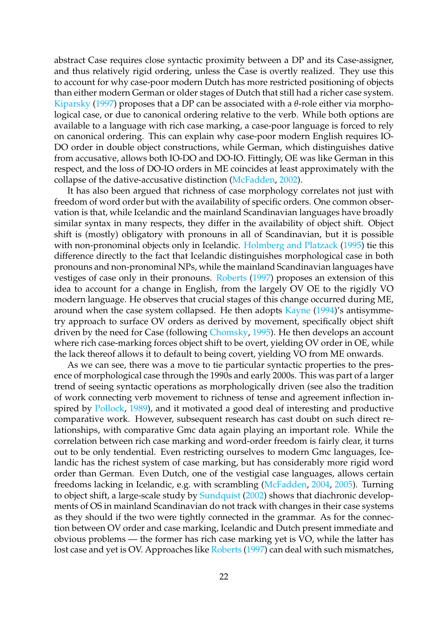abstract Case requires close syntactic proximity between a DP and its Case-assigner, and thus relatively rigid ordering, unless the Case is overtly realized. They use this to account for why case-poor modern Dutch has more restricted positioning of objects than either modern German or older stages of Dutch that still had a richer case system. [Kiparsky](#page-24-18) [\(1997\)](#page-24-18) proposes that a DP can be associated with a *θ*-role either via morphological case, or due to canonical ordering relative to the verb. While both options are available to a language with rich case marking, a case-poor language is forced to rely on canonical ordering. This can explain why case-poor modern English requires IO-DO order in double object constructions, while German, which distinguishes dative from accusative, allows both IO-DO and DO-IO. Fittingly, OE was like German in this respect, and the loss of DO-IO orders in ME coincides at least approximately with the collapse of the dative-accusative distinction [\(McFadden,](#page-24-19) [2002\)](#page-24-19).

It has also been argued that richness of case morphology correlates not just with freedom of word order but with the availability of specific orders. One common observation is that, while Icelandic and the mainland Scandinavian languages have broadly similar syntax in many respects, they differ in the availability of object shift. Object shift is (mostly) obligatory with pronouns in all of Scandinavian, but it is possible with non-pronominal objects only in Icelandic. [Holmberg and Platzack](#page-23-19) [\(1995\)](#page-23-19) tie this difference directly to the fact that Icelandic distinguishes morphological case in both pronouns and non-pronominal NPs, while the mainland Scandinavian languages have vestiges of case only in their pronouns. [Roberts](#page-26-20) [\(1997\)](#page-26-20) proposes an extension of this idea to account for a change in English, from the largely OV OE to the rigidly VO modern language. He observes that crucial stages of this change occurred during ME, around when the case system collapsed. He then adopts [Kayne](#page-24-20) [\(1994\)](#page-24-20)'s antisymmetry approach to surface OV orders as derived by movement, specifically object shift driven by the need for Case (following [Chomsky,](#page-23-20) [1995\)](#page-23-20). He then develops an account where rich case-marking forces object shift to be overt, yielding OV order in OE, while the lack thereof allows it to default to being covert, yielding VO from ME onwards.

As we can see, there was a move to tie particular syntactic properties to the presence of morphological case through the 1990s and early 2000s. This was part of a larger trend of seeing syntactic operations as morphologically driven (see also the tradition of work connecting verb movement to richness of tense and agreement inflection inspired by [Pollock,](#page-25-19) [1989\)](#page-25-19), and it motivated a good deal of interesting and productive comparative work. However, subsequent research has cast doubt on such direct relationships, with comparative Gmc data again playing an important role. While the correlation between rich case marking and word-order freedom is fairly clear, it turns out to be only tendential. Even restricting ourselves to modern Gmc languages, Icelandic has the richest system of case marking, but has considerably more rigid word order than German. Even Dutch, one of the vestigial case languages, allows certain freedoms lacking in Icelandic, e.g. with scrambling [\(McFadden,](#page-24-2) [2004,](#page-24-2) [2005\)](#page-25-20). Turning to object shift, a large-scale study by [Sundquist](#page-26-21) [\(2002\)](#page-26-21) shows that diachronic developments of OS in mainland Scandinavian do not track with changes in their case systems as they should if the two were tightly connected in the grammar. As for the connection between OV order and case marking, Icelandic and Dutch present immediate and obvious problems — the former has rich case marking yet is VO, while the latter has lost case and yet is OV. Approaches like [Roberts](#page-26-20) [\(1997\)](#page-26-20) can deal with such mismatches,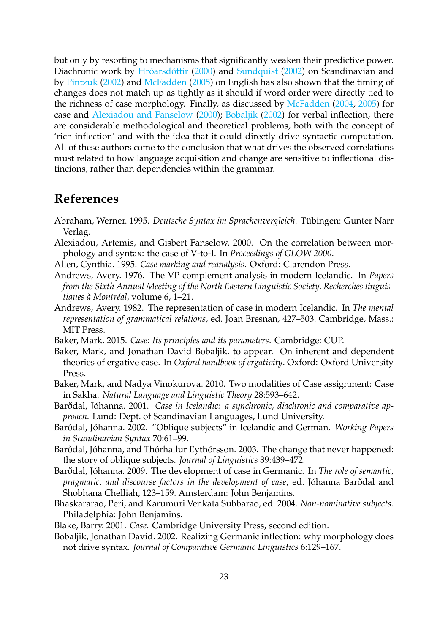but only by resorting to mechanisms that significantly weaken their predictive power. Diachronic work by [Hróarsdóttir](#page-23-21) [\(2000\)](#page-23-21) and [Sundquist](#page-26-21) [\(2002\)](#page-26-21) on Scandinavian and by [Pintzuk](#page-25-21) [\(2002\)](#page-25-21) and [McFadden](#page-25-20) [\(2005\)](#page-25-20) on English has also shown that the timing of changes does not match up as tightly as it should if word order were directly tied to the richness of case morphology. Finally, as discussed by [McFadden](#page-24-2) [\(2004,](#page-24-2) [2005\)](#page-25-20) for case and [Alexiadou and Fanselow](#page-22-13) [\(2000\)](#page-22-13); [Bobaljik](#page-22-14) [\(2002\)](#page-22-14) for verbal inflection, there are considerable methodological and theoretical problems, both with the concept of 'rich inflection' and with the idea that it could directly drive syntactic computation. All of these authors come to the conclusion that what drives the observed correlations must related to how language acquisition and change are sensitive to inflectional distincions, rather than dependencies within the grammar.

# **References**

- <span id="page-22-7"></span>Abraham, Werner. 1995. *Deutsche Syntax im Sprachenvergleich*. Tübingen: Gunter Narr Verlag.
- <span id="page-22-13"></span>Alexiadou, Artemis, and Gisbert Fanselow. 2000. On the correlation between morphology and syntax: the case of V-to-I. In *Proceedings of GLOW 2000*.
- <span id="page-22-1"></span>Allen, Cynthia. 1995. *Case marking and reanalysis*. Oxford: Clarendon Press.
- <span id="page-22-8"></span>Andrews, Avery. 1976. The VP complement analysis in modern Icelandic. In *Papers from the Sixth Annual Meeting of the North Eastern Linguistic Society, Recherches linguistiques à Montréal*, volume 6, 1–21.
- <span id="page-22-9"></span>Andrews, Avery. 1982. The representation of case in modern Icelandic. In *The mental representation of grammatical relations*, ed. Joan Bresnan, 427–503. Cambridge, Mass.: MIT Press.
- <span id="page-22-5"></span>Baker, Mark. 2015. *Case: Its principles and its parameters*. Cambridge: CUP.
- <span id="page-22-6"></span>Baker, Mark, and Jonathan David Bobaljik. to appear. On inherent and dependent theories of ergative case. In *Oxford handbook of ergativity*. Oxford: Oxford University Press.
- <span id="page-22-4"></span>Baker, Mark, and Nadya Vinokurova. 2010. Two modalities of Case assignment: Case in Sakha. *Natural Language and Linguistic Theory* 28:593–642.
- <span id="page-22-0"></span>Barðdal, Jóhanna. 2001. *Case in Icelandic: a synchronic, diachronic and comparative approach*. Lund: Dept. of Scandinavian Languages, Lund University.
- <span id="page-22-10"></span>Barðdal, Jóhanna. 2002. "Oblique subjects" in Icelandic and German. *Working Papers in Scandinavian Syntax* 70:61–99.
- <span id="page-22-11"></span>Barðdal, Jóhanna, and Thórhallur Eythórsson. 2003. The change that never happened: the story of oblique subjects. *Journal of Linguistics* 39:439–472.
- <span id="page-22-3"></span>Barðdal, Jóhanna. 2009. The development of case in Germanic. In *The role of semantic, pragmatic, and discourse factors in the development of case*, ed. Jóhanna Barðdal and Shobhana Chelliah, 123–159. Amsterdam: John Benjamins.
- <span id="page-22-12"></span>Bhaskararao, Peri, and Karumuri Venkata Subbarao, ed. 2004. *Non-nominative subjects*. Philadelphia: John Benjamins.
- <span id="page-22-2"></span>Blake, Barry. 2001. *Case*. Cambridge University Press, second edition.
- <span id="page-22-14"></span>Bobaljik, Jonathan David. 2002. Realizing Germanic inflection: why morphology does not drive syntax. *Journal of Comparative Germanic Linguistics* 6:129–167.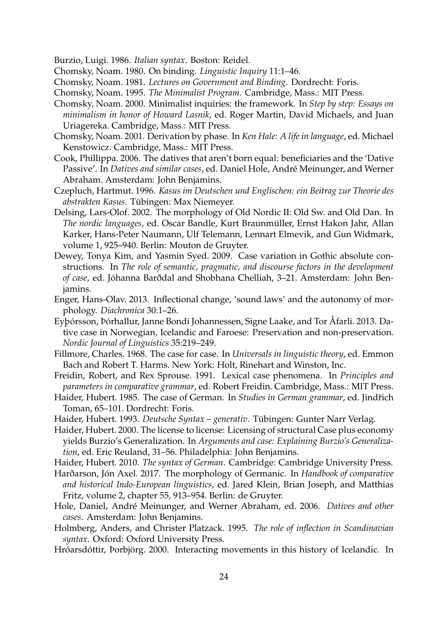<span id="page-23-7"></span>Burzio, Luigi. 1986. *Italian syntax*. Boston: Reidel.

- <span id="page-23-15"></span>Chomsky, Noam. 1980. On binding. *Linguistic Inquiry* 11:1–46.
- <span id="page-23-8"></span>Chomsky, Noam. 1981. *Lectures on Government and Binding*. Dordrecht: Foris.
- <span id="page-23-20"></span>Chomsky, Noam. 1995. *The Minimalist Program*. Cambridge, Mass.: MIT Press.
- <span id="page-23-17"></span>Chomsky, Noam. 2000. Minimalist inquiries: the framework. In *Step by step: Essays on minimalism in honor of Howard Lasnik*, ed. Roger Martin, David Michaels, and Juan Uriagereka. Cambridge, Mass.: MIT Press.
- <span id="page-23-18"></span>Chomsky, Noam. 2001. Derivation by phase. In *Ken Hale: A life in language*, ed. Michael Kenstowicz. Cambridge, Mass.: MIT Press.
- <span id="page-23-6"></span>Cook, Phillippa. 2006. The datives that aren't born equal: beneficiaries and the 'Dative Passive'. In *Datives and similar cases*, ed. Daniel Hole, André Meinunger, and Werner Abraham. Amsterdam: John Benjamins.
- <span id="page-23-11"></span>Czepluch, Hartmut. 1996. *Kasus im Deutschen und Englischen: ein Beitrag zur Theorie des abstrakten Kasus*. Tübingen: Max Niemeyer.
- <span id="page-23-3"></span>Delsing, Lars-Olof. 2002. The morphology of Old Nordic II: Old Sw. and Old Dan. In *The nordic languages*, ed. Oscar Bandle, Kurt Braunmüller, Ernst Hakon Jahr, Allan Karker, Hans-Peter Naumann, Ulf Telemann, Lennart Elmevik, and Gun Widmark, volume 1, 925–940. Berlin: Mouton de Gruyter.
- <span id="page-23-10"></span>Dewey, Tonya Kim, and Yasmin Syed. 2009. Case variation in Gothic absolute constructions. In *The role of semantic, pragmatic, and discourse factors in the development of case*, ed. Jóhanna Barðdal and Shobhana Chelliah, 3–21. Amsterdam: John Benjamins.
- <span id="page-23-4"></span>Enger, Hans-Olav. 2013. Inflectional change, 'sound laws' and the autonomy of morphology. *Diachronica* 30:1–26.
- <span id="page-23-2"></span>Eyþórsson, Þórhallur, Janne Bondi Johannessen, Signe Laake, and Tor Åfarli. 2013. Dative case in Norwegian, Icelandic and Faroese: Preservation and non-preservation. *Nordic Journal of Linguistics* 35:219–249.
- <span id="page-23-0"></span>Fillmore, Charles. 1968. The case for case. In *Universals in linguistic theory*, ed. Emmon Bach and Robert T. Harms. New York: Holt, Rinehart and Winston, Inc.
- <span id="page-23-16"></span>Freidin, Robert, and Rex Sprouse. 1991. Lexical case phenomena. In *Principles and parameters in comparative grammar*, ed. Robert Freidin. Cambridge, Mass.: MIT Press.
- <span id="page-23-9"></span>Haider, Hubert. 1985. The case of German. In *Studies in German grammar*, ed. Jindřich Toman, 65–101. Dordrecht: Foris.
- <span id="page-23-5"></span>Haider, Hubert. 1993. *Deutsche Syntax – generativ*. Tübingen: Gunter Narr Verlag.
- <span id="page-23-14"></span>Haider, Hubert. 2000. The license to license: Licensing of structural Case plus economy yields Burzio's Generalization. In *Arguments and case: Explaining Burzio's Generalization*, ed. Eric Reuland, 31–56. Philadelphia: John Benjamins.
- <span id="page-23-12"></span>Haider, Hubert. 2010. *The syntax of German*. Cambridge: Cambridge University Press.
- <span id="page-23-1"></span>Harðarson, Jón Axel. 2017. The morphology of Germanic. In *Handbook of comparative and historical Indo-European linguistics*, ed. Jared Klein, Brian Joseph, and Matthias Fritz, volume 2, chapter 55, 913–954. Berlin: de Gruyter.
- <span id="page-23-13"></span>Hole, Daniel, André Meinunger, and Werner Abraham, ed. 2006. *Datives and other cases*. Amsterdam: John Benjamins.
- <span id="page-23-19"></span>Holmberg, Anders, and Christer Platzack. 1995. *The role of inflection in Scandinavian syntax*. Oxford: Oxford University Press.
- <span id="page-23-21"></span>Hróarsdóttir, Þorbjörg. 2000. Interacting movements in this history of Icelandic. In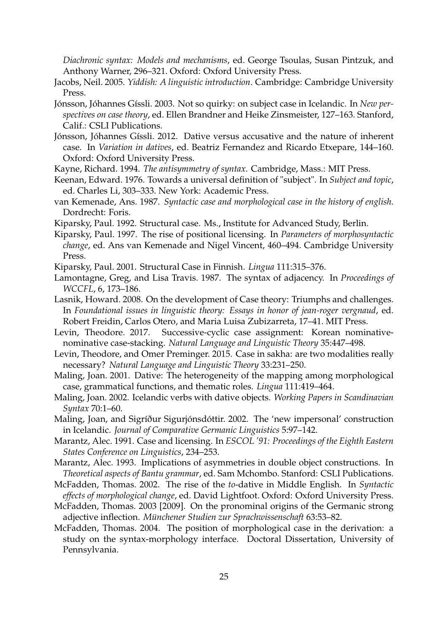*Diachronic syntax: Models and mechanisms*, ed. George Tsoulas, Susan Pintzuk, and Anthony Warner, 296–321. Oxford: Oxford University Press.

- <span id="page-24-1"></span>Jacobs, Neil. 2005. *Yiddish: A linguistic introduction*. Cambridge: Cambridge University Press.
- <span id="page-24-11"></span>Jónsson, Jóhannes Gíssli. 2003. Not so quirky: on subject case in Icelandic. In *New perspectives on case theory*, ed. Ellen Brandner and Heike Zinsmeister, 127–163. Stanford, Calif.: CSLI Publications.
- <span id="page-24-9"></span>Jónsson, Jóhannes Gíssli. 2012. Dative versus accusative and the nature of inherent case. In *Variation in datives*, ed. Beatriz Fernandez and Ricardo Etxepare, 144–160. Oxford: Oxford University Press.
- <span id="page-24-20"></span>Kayne, Richard. 1994. *The antisymmetry of syntax*. Cambridge, Mass.: MIT Press.
- <span id="page-24-12"></span>Keenan, Edward. 1976. Towards a universal definition of "subject". In *Subject and topic*, ed. Charles Li, 303–333. New York: Academic Press.
- <span id="page-24-6"></span>van Kemenade, Ans. 1987. *Syntactic case and morphological case in the history of english*. Dordrecht: Foris.
- <span id="page-24-14"></span>Kiparsky, Paul. 1992. Structural case. Ms., Institute for Advanced Study, Berlin.
- <span id="page-24-18"></span>Kiparsky, Paul. 1997. The rise of positional licensing. In *Parameters of morphosyntactic change*, ed. Ans van Kemenade and Nigel Vincent, 460–494. Cambridge University Press.
- <span id="page-24-15"></span>Kiparsky, Paul. 2001. Structural Case in Finnish. *Lingua* 111:315–376.
- <span id="page-24-17"></span>Lamontagne, Greg, and Lisa Travis. 1987. The syntax of adjacency. In *Proceedings of WCCFL*, 6, 173–186.
- <span id="page-24-13"></span>Lasnik, Howard. 2008. On the development of Case theory: Triumphs and challenges. In *Foundational issues in linguistic theory: Essays in honor of jean-roger vergnaud*, ed. Robert Freidin, Carlos Otero, and Maria Luisa Zubizarreta, 17–41. MIT Press.
- <span id="page-24-16"></span>Levin, Theodore. 2017. Successive-cyclic case assignment: Korean nominativenominative case-stacking. *Natural Language and Linguistic Theory* 35:447–498.
- <span id="page-24-4"></span>Levin, Theodore, and Omer Preminger. 2015. Case in sakha: are two modalities really necessary? *Natural Language and Linguistic Theory* 33:231–250.
- <span id="page-24-7"></span>Maling, Joan. 2001. Dative: The heterogeneity of the mapping among morphological case, grammatical functions, and thematic roles. *Lingua* 111:419–464.
- <span id="page-24-8"></span>Maling, Joan. 2002. Icelandic verbs with dative objects. *Working Papers in Scandinavian Syntax* 70:1–60.
- <span id="page-24-10"></span>Maling, Joan, and Sigríður Sigurjónsdóttir. 2002. The 'new impersonal' construction in Icelandic. *Journal of Comparative Germanic Linguistics* 5:97–142.
- <span id="page-24-3"></span>Marantz, Alec. 1991. Case and licensing. In *ESCOL '91: Proceedings of the Eighth Eastern States Conference on Linguistics*, 234–253.
- <span id="page-24-5"></span>Marantz, Alec. 1993. Implications of asymmetries in double object constructions. In *Theoretical aspects of Bantu grammar*, ed. Sam Mchombo. Stanford: CSLI Publications.
- <span id="page-24-19"></span>McFadden, Thomas. 2002. The rise of the *to*-dative in Middle English. In *Syntactic effects of morphological change*, ed. David Lightfoot. Oxford: Oxford University Press.
- <span id="page-24-0"></span>McFadden, Thomas. 2003 [2009]. On the pronominal origins of the Germanic strong adjective inflection. *Münchener Studien zur Sprachwissenschaft* 63:53–82.
- <span id="page-24-2"></span>McFadden, Thomas. 2004. The position of morphological case in the derivation: a study on the syntax-morphology interface. Doctoral Dissertation, University of Pennsylvania.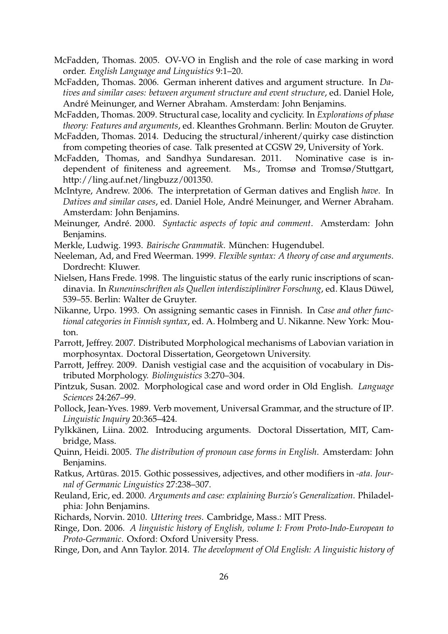- <span id="page-25-20"></span>McFadden, Thomas. 2005. OV-VO in English and the role of case marking in word order. *English Language and Linguistics* 9:1–20.
- <span id="page-25-14"></span>McFadden, Thomas. 2006. German inherent datives and argument structure. In *Datives and similar cases: between argument structure and event structure*, ed. Daniel Hole, André Meinunger, and Werner Abraham. Amsterdam: John Benjamins.
- <span id="page-25-17"></span>McFadden, Thomas. 2009. Structural case, locality and cyclicity. In *Explorations of phase theory: Features and arguments*, ed. Kleanthes Grohmann. Berlin: Mouton de Gruyter.
- <span id="page-25-12"></span>McFadden, Thomas. 2014. Deducing the structural/inherent/quirky case distinction from competing theories of case. Talk presented at CGSW 29, University of York.
- <span id="page-25-16"></span>McFadden, Thomas, and Sandhya Sundaresan. 2011. Nominative case is independent of finiteness and agreement. Ms., Tromsø and Tromsø/Stuttgart, http://ling.auf.net/lingbuzz/001350.
- <span id="page-25-10"></span>McIntyre, Andrew. 2006. The interpretation of German datives and English *have*. In *Datives and similar cases*, ed. Daniel Hole, André Meinunger, and Werner Abraham. Amsterdam: John Benjamins.
- <span id="page-25-9"></span>Meinunger, André. 2000. *Syntactic aspects of topic and comment*. Amsterdam: John Benjamins.
- <span id="page-25-4"></span>Merkle, Ludwig. 1993. *Bairische Grammatik*. München: Hugendubel.
- <span id="page-25-18"></span>Neeleman, Ad, and Fred Weerman. 1999. *Flexible syntax: A theory of case and arguments*. Dordrecht: Kluwer.
- <span id="page-25-3"></span>Nielsen, Hans Frede. 1998. The linguistic status of the early runic inscriptions of scandinavia. In *Runeninschriften als Quellen interdisziplinärer Forschung*, ed. Klaus Düwel, 539–55. Berlin: Walter de Gruyter.
- <span id="page-25-7"></span>Nikanne, Urpo. 1993. On assigning semantic cases in Finnish. In *Case and other functional categories in Finnish syntax*, ed. A. Holmberg and U. Nikanne. New York: Mouton.
- <span id="page-25-5"></span>Parrott, Jeffrey. 2007. Distributed Morphological mechanisms of Labovian variation in morphosyntax. Doctoral Dissertation, Georgetown University.
- <span id="page-25-6"></span>Parrott, Jeffrey. 2009. Danish vestigial case and the acquisition of vocabulary in Distributed Morphology. *Biolinguistics* 3:270–304.
- <span id="page-25-21"></span>Pintzuk, Susan. 2002. Morphological case and word order in Old English. *Language Sciences* 24:267–99.
- <span id="page-25-19"></span>Pollock, Jean-Yves. 1989. Verb movement, Universal Grammar, and the structure of IP. *Linguistic Inquiry* 20:365–424.
- <span id="page-25-13"></span>Pylkkänen, Liina. 2002. Introducing arguments. Doctoral Dissertation, MIT, Cambridge, Mass.
- <span id="page-25-15"></span>Quinn, Heidi. 2005. *The distribution of pronoun case forms in English*. Amsterdam: John Benjamins.
- <span id="page-25-2"></span>Ratkus, Arturas. 2015. Gothic possessives, adjectives, and other modifiers in ¯ *-ata*. *Journal of Germanic Linguistics* 27:238–307.
- <span id="page-25-8"></span>Reuland, Eric, ed. 2000. *Arguments and case: explaining Burzio's Generalization*. Philadelphia: John Benjamins.
- <span id="page-25-11"></span>Richards, Norvin. 2010. *Uttering trees*. Cambridge, Mass.: MIT Press.
- <span id="page-25-0"></span>Ringe, Don. 2006. *A linguistic history of English, volume I: From Proto-Indo-European to Proto-Germanic*. Oxford: Oxford University Press.
- <span id="page-25-1"></span>Ringe, Don, and Ann Taylor. 2014. *The development of Old English: A linguistic history of*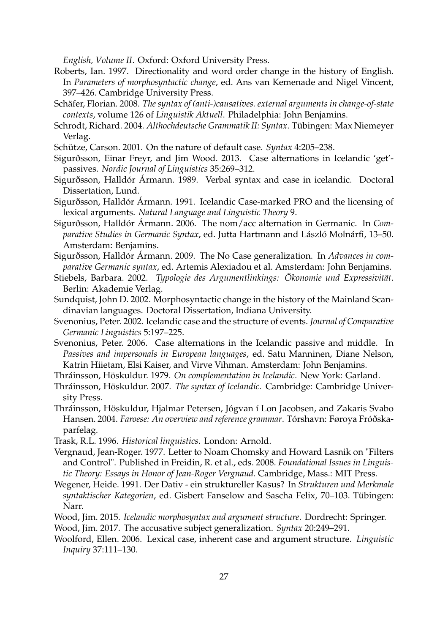*English, Volume II*. Oxford: Oxford University Press.

- <span id="page-26-20"></span>Roberts, Ian. 1997. Directionality and word order change in the history of English. In *Parameters of morphosyntactic change*, ed. Ans van Kemenade and Nigel Vincent, 397–426. Cambridge University Press.
- <span id="page-26-12"></span>Schäfer, Florian. 2008. *The syntax of (anti-)causatives. external arguments in change-of-state contexts*, volume 126 of *Linguistik Aktuell*. Philadelphia: John Benjamins.
- <span id="page-26-13"></span>Schrodt, Richard. 2004. *Althochdeutsche Grammatik II: Syntax*. Tübingen: Max Niemeyer Verlag.
- <span id="page-26-17"></span>Schütze, Carson. 2001. On the nature of default case. *Syntax* 4:205–238.
- <span id="page-26-11"></span>Sigurðsson, Einar Freyr, and Jim Wood. 2013. Case alternations in Icelandic 'get' passives. *Nordic Journal of Linguistics* 35:269–312.
- <span id="page-26-14"></span>Sigurðsson, Halldór Ármann. 1989. Verbal syntax and case in icelandic. Doctoral Dissertation, Lund.
- <span id="page-26-16"></span>Sigurðsson, Halldór Ármann. 1991. Icelandic Case-marked PRO and the licensing of lexical arguments. *Natural Language and Linguistic Theory* 9.
- <span id="page-26-5"></span>Sigurðsson, Halldór Ármann. 2006. The nom/acc alternation in Germanic. In *Comparative Studies in Germanic Syntax*, ed. Jutta Hartmann and László Molnárfi, 13–50. Amsterdam: Benjamins.
- <span id="page-26-7"></span>Sigurðsson, Halldór Ármann. 2009. The No Case generalization. In *Advances in comparative Germanic syntax*, ed. Artemis Alexiadou et al. Amsterdam: John Benjamins.
- <span id="page-26-4"></span>Stiebels, Barbara. 2002. *Typologie des Argumentlinkings: Ökonomie und Expressivität*. Berlin: Akademie Verlag.
- <span id="page-26-21"></span>Sundquist, John D. 2002. Morphosyntactic change in the history of the Mainland Scandinavian languages. Doctoral Dissertation, Indiana University.
- <span id="page-26-0"></span>Svenonius, Peter. 2002. Icelandic case and the structure of events. *Journal of Comparative Germanic Linguistics* 5:197–225.
- <span id="page-26-9"></span>Svenonius, Peter. 2006. Case alternations in the Icelandic passive and middle. In *Passives and impersonals in European languages*, ed. Satu Manninen, Diane Nelson, Katrin Hiietam, Elsi Kaiser, and Virve Vihman. Amsterdam: John Benjamins.

<span id="page-26-18"></span>Thráinsson, Höskuldur. 1979. *On complementation in Icelandic*. New York: Garland.

- <span id="page-26-1"></span>Thráinsson, Höskuldur. 2007. *The syntax of Icelandic*. Cambridge: Cambridge University Press.
- <span id="page-26-2"></span>Thráinsson, Höskuldur, Hjalmar Petersen, Jógvan í Lon Jacobsen, and Zakaris Svabo Hansen. 2004. *Faroese: An overview and reference grammar*. Tórshavn: Føroya Fróðskaparfelag.
- <span id="page-26-3"></span>Trask, R.L. 1996. *Historical linguistics*. London: Arnold.
- <span id="page-26-19"></span>Vergnaud, Jean-Roger. 1977. Letter to Noam Chomsky and Howard Lasnik on "Filters and Control". Published in Freidin, R. et al., eds. 2008. *Foundational Issues in Linguistic Theory: Essays in Honor of Jean-Roger Vergnaud*. Cambridge, Mass.: MIT Press.
- <span id="page-26-6"></span>Wegener, Heide. 1991. Der Dativ - ein struktureller Kasus? In *Strukturen und Merkmale syntaktischer Kategorien*, ed. Gisbert Fanselow and Sascha Felix, 70–103. Tübingen: Narr.
- <span id="page-26-10"></span>Wood, Jim. 2015. *Icelandic morphosyntax and argument structure*. Dordrecht: Springer.
- <span id="page-26-15"></span>Wood, Jim. 2017. The accusative subject generalization. *Syntax* 20:249–291.
- <span id="page-26-8"></span>Woolford, Ellen. 2006. Lexical case, inherent case and argument structure. *Linguistic Inquiry* 37:111–130.